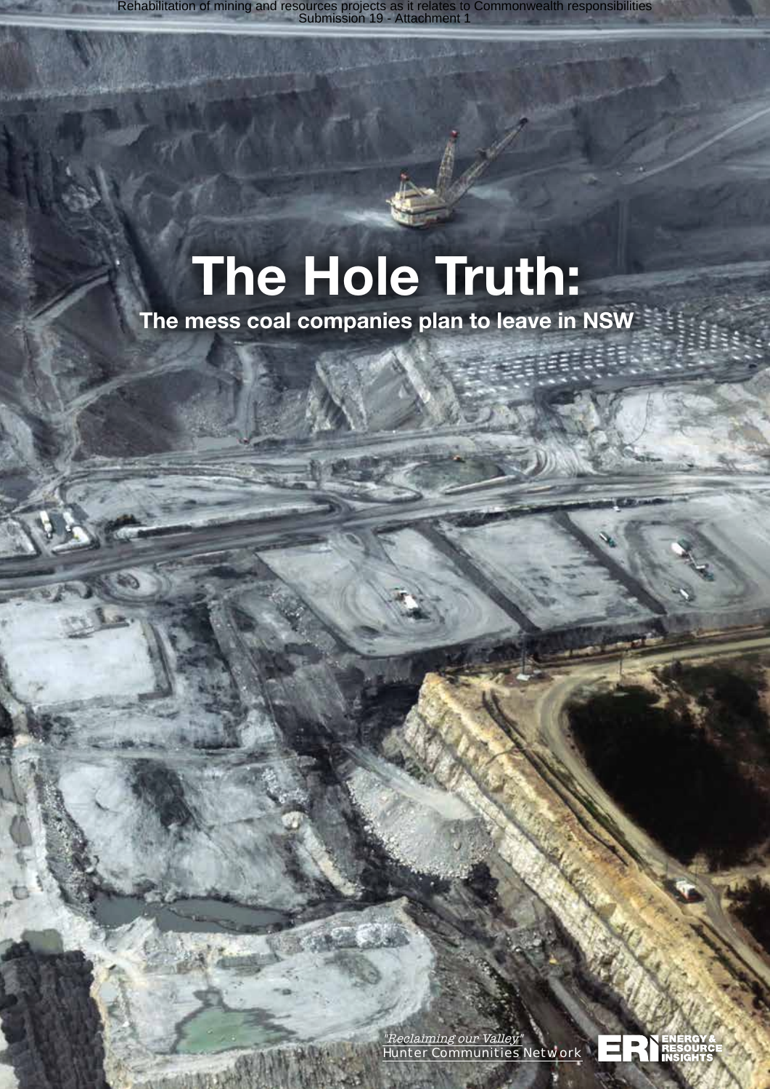# The Hole Truth:

The mess coal companies plan to leave in NSW

"Reclaiming our Valley" Hunter Communities Network

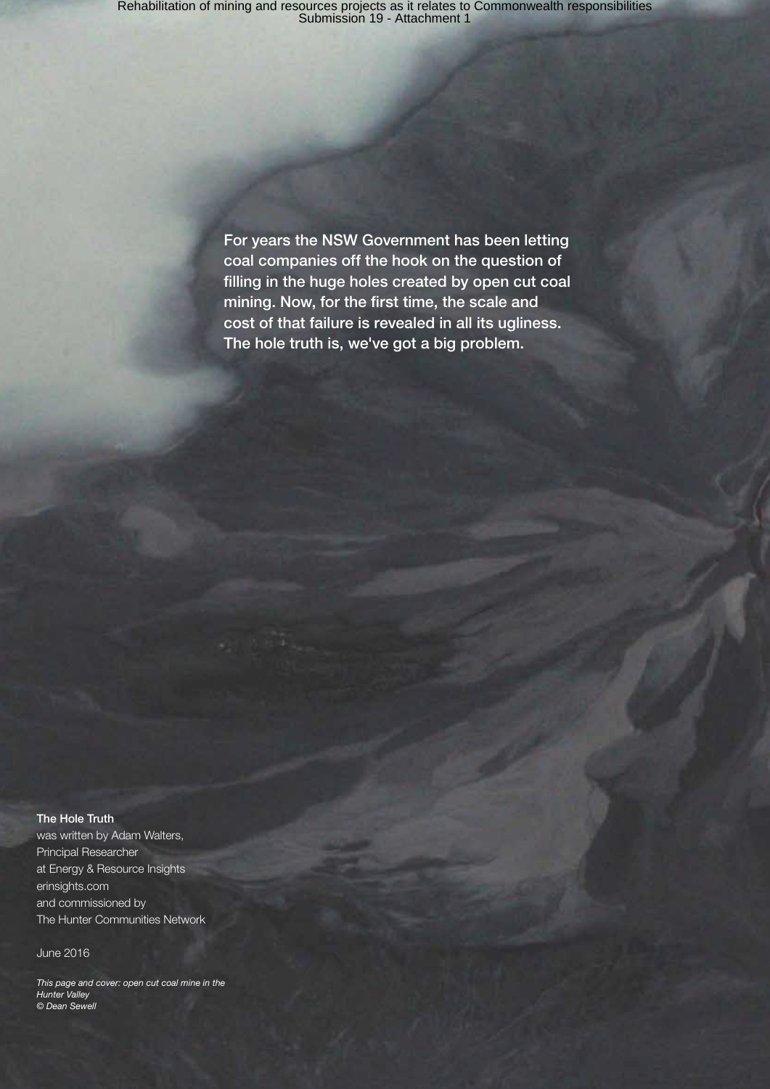For years the NSW Government has been letting coal companies off the hook on the question of filling in the huge holes created by open cut coal mining. Now, for the first time, the scale and cost of that failure is revealed in all its ugliness. The hole truth is, we've got a big problem.

#### The Hole Truth

was written by Adam Walters, Principal Researcher at Energy & Resource Insights erinsights.com and commissioned by The Hunter Communities Network

June 2016

*This page and cover: open cut coal mine in the Hunter Valley © Dean Sewell*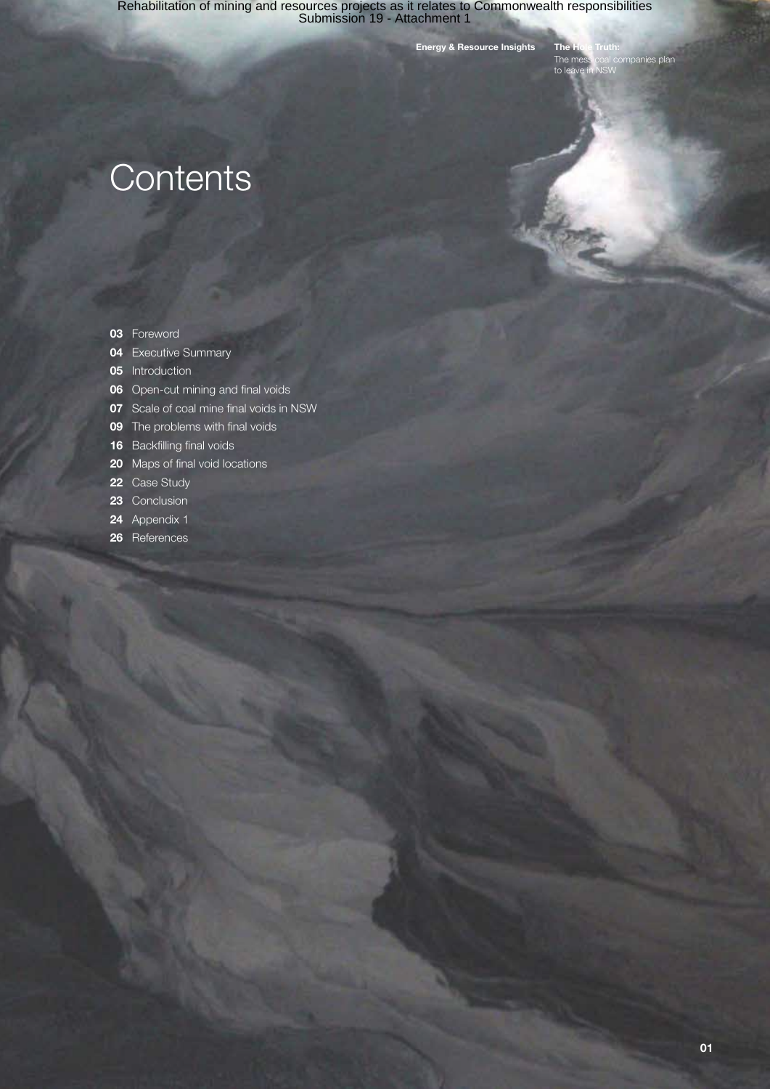Energy & Resource Insights The Hole Truth:

ompanies plan The me<br>to leave

# **Contents**

- 03 Foreword
- **04** Executive Summary
- **05** Introduction
- **06** Open-cut mining and final voids
- **07** Scale of coal mine final voids in NSW
- **09** The problems with final voids
- 16 Backfilling final voids
- 20 Maps of final void locations
- 22 Case Study
- 23 Conclusion
- 24 Appendix 1
- 26 References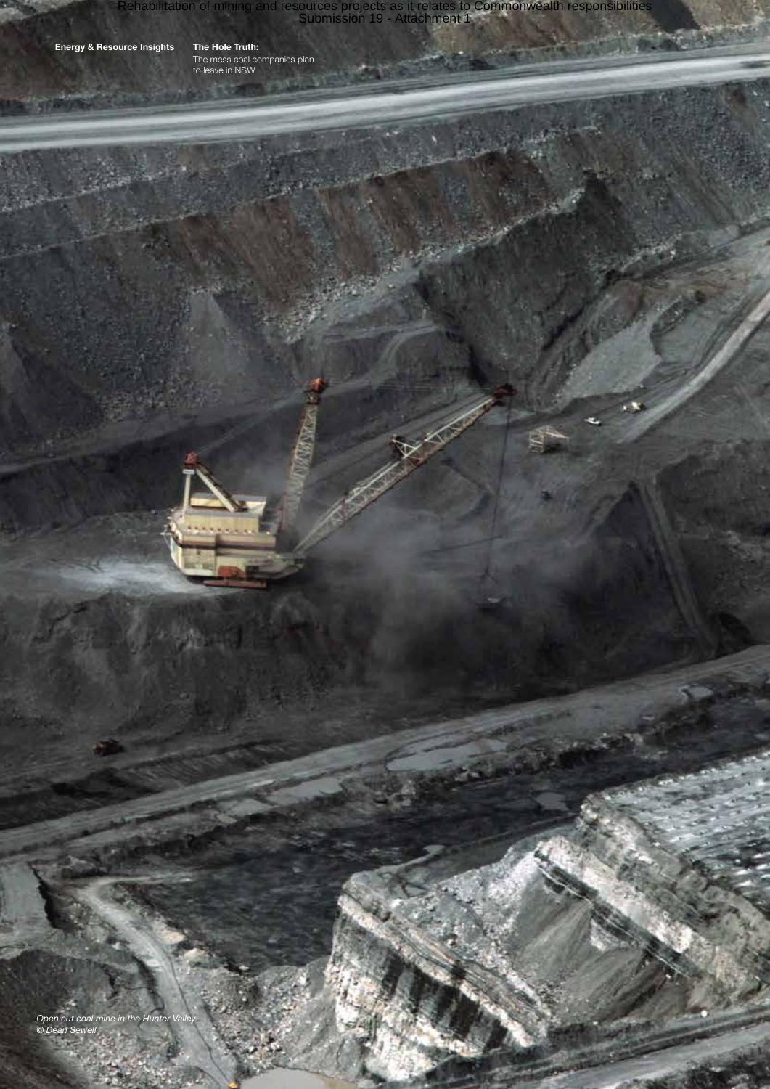Energy & Resource Insights The Hole Truth:

The mess coal companies plan to leave in NSW

*Open cut coal mine in the Hunter Valley © Dean Sewell*

ä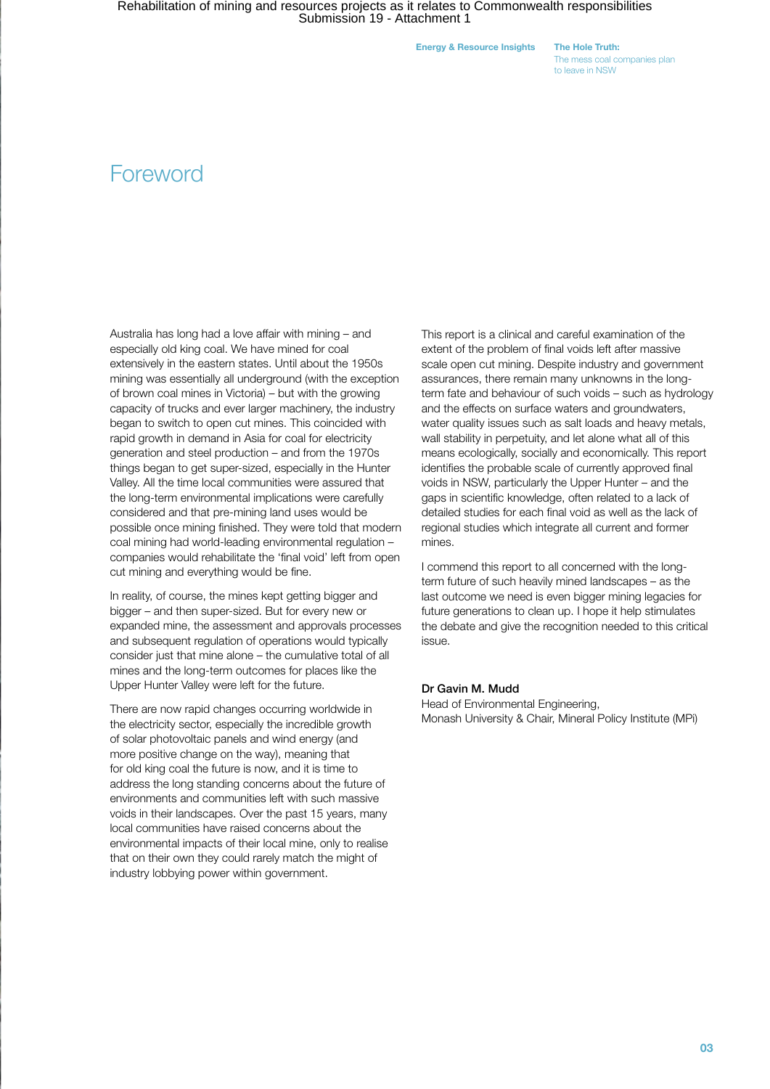Energy & Resource Insights The Hole Truth:

The mess coal companies plan to leave in NSW

### **Foreword**

Australia has long had a love affair with mining – and especially old king coal. We have mined for coal extensively in the eastern states. Until about the 1950s mining was essentially all underground (with the exception of brown coal mines in Victoria) – but with the growing capacity of trucks and ever larger machinery, the industry began to switch to open cut mines. This coincided with rapid growth in demand in Asia for coal for electricity generation and steel production – and from the 1970s things began to get super-sized, especially in the Hunter Valley. All the time local communities were assured that the long-term environmental implications were carefully considered and that pre-mining land uses would be possible once mining finished. They were told that modern coal mining had world-leading environmental regulation – companies would rehabilitate the 'final void' left from open cut mining and everything would be fine.

In reality, of course, the mines kept getting bigger and bigger – and then super-sized. But for every new or expanded mine, the assessment and approvals processes and subsequent regulation of operations would typically consider just that mine alone – the cumulative total of all mines and the long-term outcomes for places like the Upper Hunter Valley were left for the future.

There are now rapid changes occurring worldwide in the electricity sector, especially the incredible growth of solar photovoltaic panels and wind energy (and more positive change on the way), meaning that for old king coal the future is now, and it is time to address the long standing concerns about the future of environments and communities left with such massive voids in their landscapes. Over the past 15 years, many local communities have raised concerns about the environmental impacts of their local mine, only to realise that on their own they could rarely match the might of industry lobbying power within government.

This report is a clinical and careful examination of the extent of the problem of final voids left after massive scale open cut mining. Despite industry and government assurances, there remain many unknowns in the longterm fate and behaviour of such voids – such as hydrology and the effects on surface waters and groundwaters, water quality issues such as salt loads and heavy metals, wall stability in perpetuity, and let alone what all of this means ecologically, socially and economically. This report identifies the probable scale of currently approved final voids in NSW, particularly the Upper Hunter – and the gaps in scientific knowledge, often related to a lack of detailed studies for each final void as well as the lack of regional studies which integrate all current and former mines.

I commend this report to all concerned with the longterm future of such heavily mined landscapes – as the last outcome we need is even bigger mining legacies for future generations to clean up. I hope it help stimulates the debate and give the recognition needed to this critical issue.

#### Dr Gavin M. Mudd

Head of Environmental Engineering, Monash University & Chair, Mineral Policy Institute (MPi)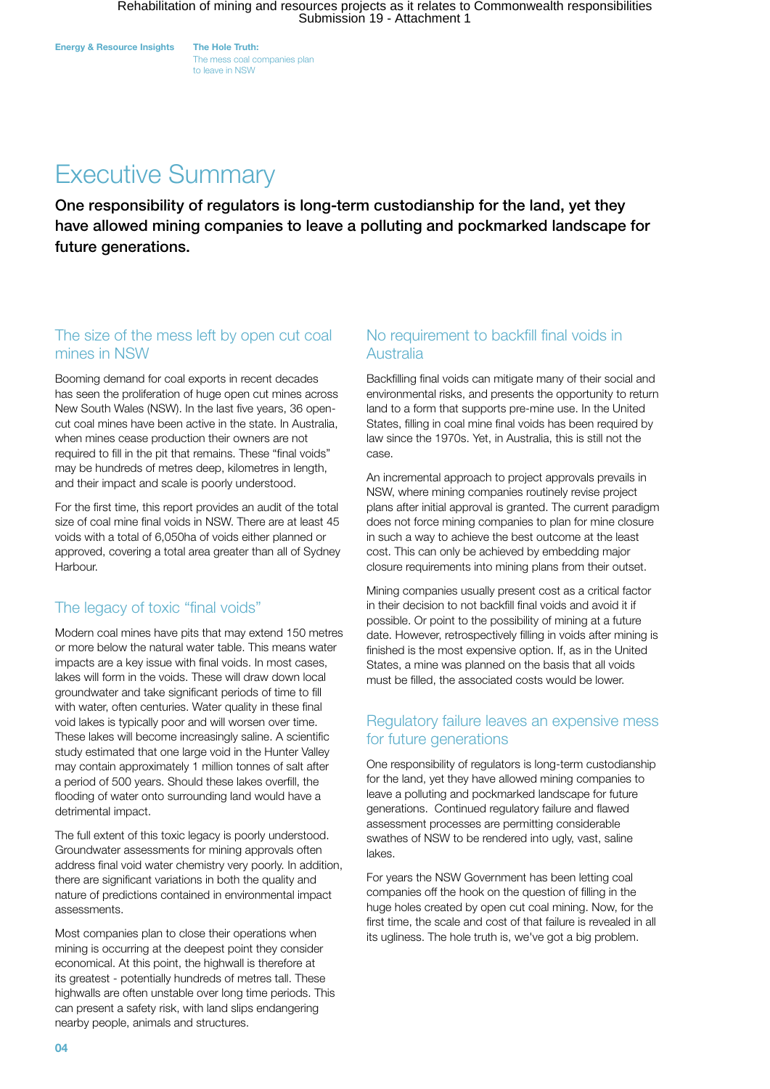The mess coal companies plan to leave in NSW

# Executive Summary

One responsibility of regulators is long-term custodianship for the land, yet they have allowed mining companies to leave a polluting and pockmarked landscape for future generations.

### The size of the mess left by open cut coal mines in NSW

Booming demand for coal exports in recent decades has seen the proliferation of huge open cut mines across New South Wales (NSW). In the last five years, 36 opencut coal mines have been active in the state. In Australia, when mines cease production their owners are not required to fill in the pit that remains. These "final voids" may be hundreds of metres deep, kilometres in length, and their impact and scale is poorly understood.

For the first time, this report provides an audit of the total size of coal mine final voids in NSW. There are at least 45 voids with a total of 6,050ha of voids either planned or approved, covering a total area greater than all of Sydney Harbour.

### The legacy of toxic "final voids"

Modern coal mines have pits that may extend 150 metres or more below the natural water table. This means water impacts are a key issue with final voids. In most cases, lakes will form in the voids. These will draw down local groundwater and take significant periods of time to fill with water, often centuries. Water quality in these final void lakes is typically poor and will worsen over time. These lakes will become increasingly saline. A scientific study estimated that one large void in the Hunter Valley may contain approximately 1 million tonnes of salt after a period of 500 years. Should these lakes overfill, the flooding of water onto surrounding land would have a detrimental impact.

The full extent of this toxic legacy is poorly understood. Groundwater assessments for mining approvals often address final void water chemistry very poorly. In addition, there are significant variations in both the quality and nature of predictions contained in environmental impact assessments.

Most companies plan to close their operations when mining is occurring at the deepest point they consider economical. At this point, the highwall is therefore at its greatest - potentially hundreds of metres tall. These highwalls are often unstable over long time periods. This can present a safety risk, with land slips endangering nearby people, animals and structures.

### No requirement to backfill final voids in Australia

Backfilling final voids can mitigate many of their social and environmental risks, and presents the opportunity to return land to a form that supports pre-mine use. In the United States, filling in coal mine final voids has been required by law since the 1970s. Yet, in Australia, this is still not the case.

An incremental approach to project approvals prevails in NSW, where mining companies routinely revise project plans after initial approval is granted. The current paradigm does not force mining companies to plan for mine closure in such a way to achieve the best outcome at the least cost. This can only be achieved by embedding major closure requirements into mining plans from their outset.

Mining companies usually present cost as a critical factor in their decision to not backfill final voids and avoid it if possible. Or point to the possibility of mining at a future date. However, retrospectively filling in voids after mining is finished is the most expensive option. If, as in the United States, a mine was planned on the basis that all voids must be filled, the associated costs would be lower.

### Regulatory failure leaves an expensive mess for future generations

One responsibility of regulators is long-term custodianship for the land, yet they have allowed mining companies to leave a polluting and pockmarked landscape for future generations. Continued regulatory failure and flawed assessment processes are permitting considerable swathes of NSW to be rendered into ugly, vast, saline lakes.

For years the NSW Government has been letting coal companies off the hook on the question of filling in the huge holes created by open cut coal mining. Now, for the first time, the scale and cost of that failure is revealed in all its ugliness. The hole truth is, we've got a big problem.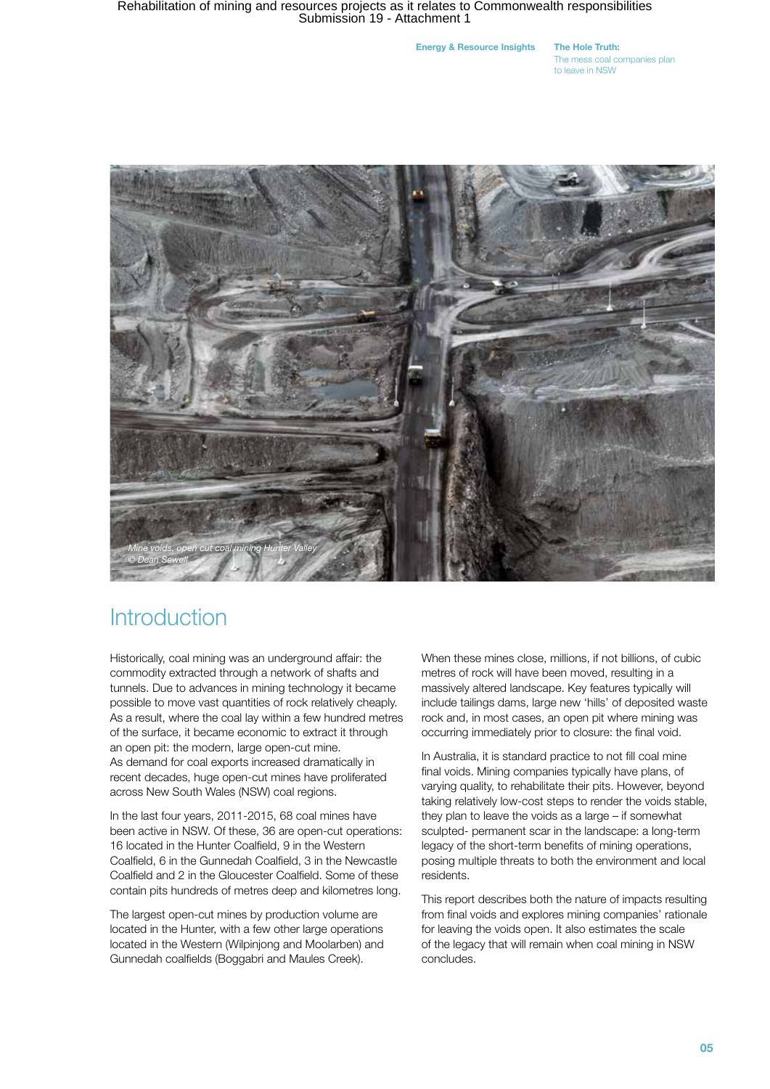Energy & Resource Insights The Hole Truth:

The mess coal companies plan to leave in NSW



### **Introduction**

Historically, coal mining was an underground affair: the commodity extracted through a network of shafts and tunnels. Due to advances in mining technology it became possible to move vast quantities of rock relatively cheaply. As a result, where the coal lay within a few hundred metres of the surface, it became economic to extract it through an open pit: the modern, large open-cut mine. As demand for coal exports increased dramatically in recent decades, huge open-cut mines have proliferated across New South Wales (NSW) coal regions.

In the last four years, 2011-2015, 68 coal mines have been active in NSW. Of these, 36 are open-cut operations: 16 located in the Hunter Coalfield, 9 in the Western Coalfield, 6 in the Gunnedah Coalfield, 3 in the Newcastle Coalfield and 2 in the Gloucester Coalfield. Some of these contain pits hundreds of metres deep and kilometres long.

The largest open-cut mines by production volume are located in the Hunter, with a few other large operations located in the Western (Wilpinjong and Moolarben) and Gunnedah coalfields (Boggabri and Maules Creek).

When these mines close, millions, if not billions, of cubic metres of rock will have been moved, resulting in a massively altered landscape. Key features typically will include tailings dams, large new 'hills' of deposited waste rock and, in most cases, an open pit where mining was occurring immediately prior to closure: the final void.

In Australia, it is standard practice to not fill coal mine final voids. Mining companies typically have plans, of varying quality, to rehabilitate their pits. However, beyond taking relatively low-cost steps to render the voids stable, they plan to leave the voids as a large – if somewhat sculpted- permanent scar in the landscape: a long-term legacy of the short-term benefits of mining operations, posing multiple threats to both the environment and local residents.

This report describes both the nature of impacts resulting from final voids and explores mining companies' rationale for leaving the voids open. It also estimates the scale of the legacy that will remain when coal mining in NSW concludes.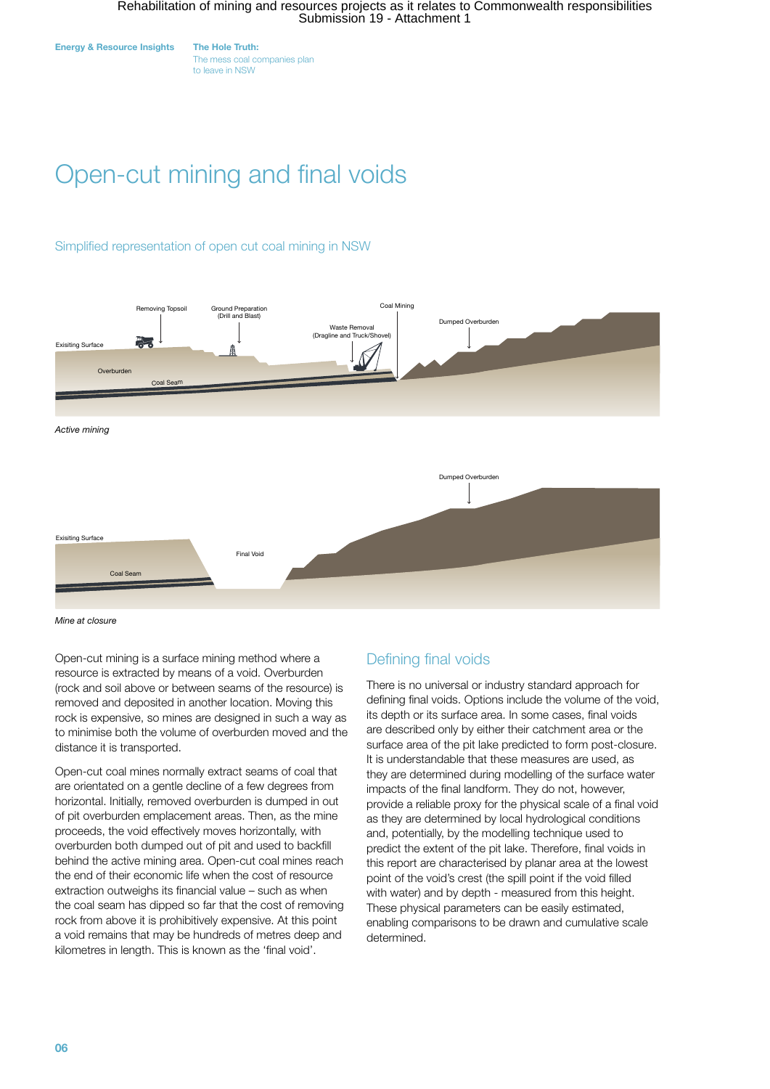

The mess coal companies plan to leave in NSW

# Open-cut mining and final voids

#### Simplified representation of open cut coal mining in NSW



*Mine at closure*

Open-cut mining is a surface mining method where a resource is extracted by means of a void. Overburden (rock and soil above or between seams of the resource) is removed and deposited in another location. Moving this rock is expensive, so mines are designed in such a way as to minimise both the volume of overburden moved and the distance it is transported.

Open-cut coal mines normally extract seams of coal that are orientated on a gentle decline of a few degrees from horizontal. Initially, removed overburden is dumped in out of pit overburden emplacement areas. Then, as the mine proceeds, the void effectively moves horizontally, with overburden both dumped out of pit and used to backfill behind the active mining area. Open-cut coal mines reach the end of their economic life when the cost of resource extraction outweighs its financial value – such as when the coal seam has dipped so far that the cost of removing rock from above it is prohibitively expensive. At this point a void remains that may be hundreds of metres deep and kilometres in length. This is known as the 'final void'.

### Defining final voids

There is no universal or industry standard approach for defining final voids. Options include the volume of the void, its depth or its surface area. In some cases, final voids are described only by either their catchment area or the surface area of the pit lake predicted to form post-closure. It is understandable that these measures are used, as they are determined during modelling of the surface water impacts of the final landform. They do not, however, provide a reliable proxy for the physical scale of a final void as they are determined by local hydrological conditions and, potentially, by the modelling technique used to predict the extent of the pit lake. Therefore, final voids in this report are characterised by planar area at the lowest point of the void's crest (the spill point if the void filled with water) and by depth - measured from this height. These physical parameters can be easily estimated, enabling comparisons to be drawn and cumulative scale determined.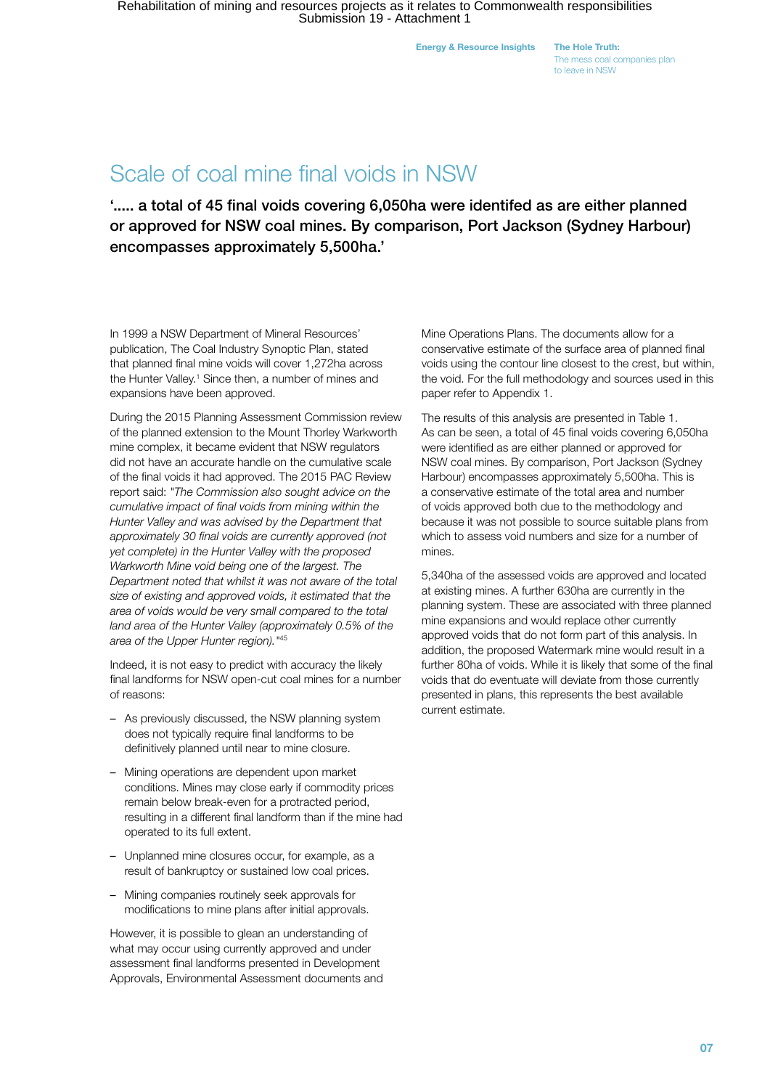The mess coal companies plan to leave in NSW

### Scale of coal mine final voids in NSW

'..... a total of 45 final voids covering 6,050ha were identifed as are either planned or approved for NSW coal mines. By comparison, Port Jackson (Sydney Harbour) encompasses approximately 5,500ha.'

In 1999 a NSW Department of Mineral Resources' publication, The Coal Industry Synoptic Plan, stated that planned final mine voids will cover 1,272ha across the Hunter Valley.<sup>1</sup> Since then, a number of mines and expansions have been approved.

During the 2015 Planning Assessment Commission review of the planned extension to the Mount Thorley Warkworth mine complex, it became evident that NSW regulators did not have an accurate handle on the cumulative scale of the final voids it had approved. The 2015 PAC Review report said: *"The Commission also sought advice on the cumulative impact of final voids from mining within the Hunter Valley and was advised by the Department that approximately 30 final voids are currently approved (not yet complete) in the Hunter Valley with the proposed Warkworth Mine void being one of the largest. The Department noted that whilst it was not aware of the total size of existing and approved voids, it estimated that the area of voids would be very small compared to the total land area of the Hunter Valley (approximately 0.5% of the area of the Upper Hunter region)."*<sup>45</sup>

Indeed, it is not easy to predict with accuracy the likely final landforms for NSW open-cut coal mines for a number of reasons:

- As previously discussed, the NSW planning system does not typically require final landforms to be definitively planned until near to mine closure.
- Mining operations are dependent upon market conditions. Mines may close early if commodity prices remain below break-even for a protracted period, resulting in a different final landform than if the mine had operated to its full extent.
- Unplanned mine closures occur, for example, as a result of bankruptcy or sustained low coal prices.
- Mining companies routinely seek approvals for modifications to mine plans after initial approvals.

However, it is possible to glean an understanding of what may occur using currently approved and under assessment final landforms presented in Development Approvals, Environmental Assessment documents and Mine Operations Plans. The documents allow for a conservative estimate of the surface area of planned final voids using the contour line closest to the crest, but within, the void. For the full methodology and sources used in this paper refer to Appendix 1.

The results of this analysis are presented in Table 1. As can be seen, a total of 45 final voids covering 6,050ha were identified as are either planned or approved for NSW coal mines. By comparison, Port Jackson (Sydney Harbour) encompasses approximately 5,500ha. This is a conservative estimate of the total area and number of voids approved both due to the methodology and because it was not possible to source suitable plans from which to assess void numbers and size for a number of mines.

5,340ha of the assessed voids are approved and located at existing mines. A further 630ha are currently in the planning system. These are associated with three planned mine expansions and would replace other currently approved voids that do not form part of this analysis. In addition, the proposed Watermark mine would result in a further 80ha of voids. While it is likely that some of the final voids that do eventuate will deviate from those currently presented in plans, this represents the best available current estimate.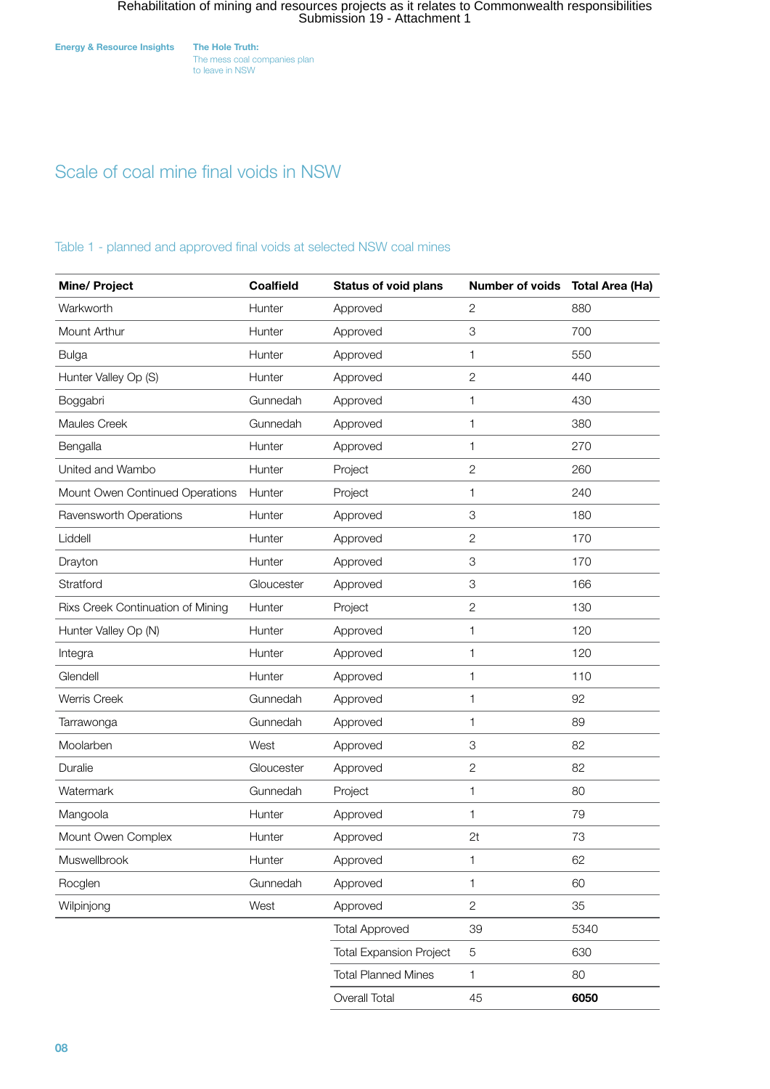The mess coal companies plan to leave in NSW

### Scale of coal mine final voids in NSW

#### Table 1 - planned and approved final voids at selected NSW coal mines

| <b>Mine/ Project</b>              | <b>Coalfield</b> | <b>Status of void plans</b>    | Number of voids | <b>Total Area (Ha)</b> |
|-----------------------------------|------------------|--------------------------------|-----------------|------------------------|
| Warkworth                         | Hunter           | Approved                       | $\mathbf{2}$    | 880                    |
| Mount Arthur                      | Hunter           | Approved                       | 3               | 700                    |
| <b>Bulga</b>                      | Hunter           | Approved                       | 1               | 550                    |
| Hunter Valley Op (S)              | Hunter           | Approved                       | $\overline{c}$  | 440                    |
| Boggabri                          | Gunnedah         | Approved                       | 1               | 430                    |
| Maules Creek                      | Gunnedah         | Approved                       | 1               | 380                    |
| Bengalla                          | Hunter           | Approved                       | 1               | 270                    |
| United and Wambo                  | Hunter           | Project                        | $\mathbf{2}$    | 260                    |
| Mount Owen Continued Operations   | Hunter           | Project                        | 1               | 240                    |
| Ravensworth Operations            | Hunter           | Approved                       | 3               | 180                    |
| Liddell                           | Hunter           | Approved                       | $\mathbf{2}$    | 170                    |
| Drayton                           | Hunter           | Approved                       | 3               | 170                    |
| Stratford                         | Gloucester       | Approved                       | 3               | 166                    |
| Rixs Creek Continuation of Mining | Hunter           | Project                        | $\mathbf{2}$    | 130                    |
| Hunter Valley Op (N)              | Hunter           | Approved                       | 1               | 120                    |
| Integra                           | Hunter           | Approved                       | 1               | 120                    |
| Glendell                          | Hunter           | Approved                       | 1               | 110                    |
| <b>Werris Creek</b>               | Gunnedah         | Approved                       | 1               | 92                     |
| Tarrawonga                        | Gunnedah         | Approved                       | 1               | 89                     |
| Moolarben                         | West             | Approved                       | 3               | 82                     |
| Duralie                           | Gloucester       | Approved                       | $\sqrt{2}$      | 82                     |
| Watermark                         | Gunnedah         | Project                        | 1               | 80                     |
| Mangoola                          | Hunter           | Approved                       | 1               | 79                     |
| Mount Owen Complex                | Hunter           | Approved                       | 2t              | 73                     |
| Muswellbrook                      | Hunter           | Approved                       | 1               | 62                     |
| Rocglen                           | Gunnedah         | Approved                       | 1               | 60                     |
| Wilpinjong                        | West             | Approved                       | $\overline{2}$  | 35                     |
|                                   |                  | <b>Total Approved</b>          | 39              | 5340                   |
|                                   |                  | <b>Total Expansion Project</b> | $\,$ 5 $\,$     | 630                    |
|                                   |                  | <b>Total Planned Mines</b>     | 1               | 80                     |
|                                   |                  | Overall Total                  | 45              | 6050                   |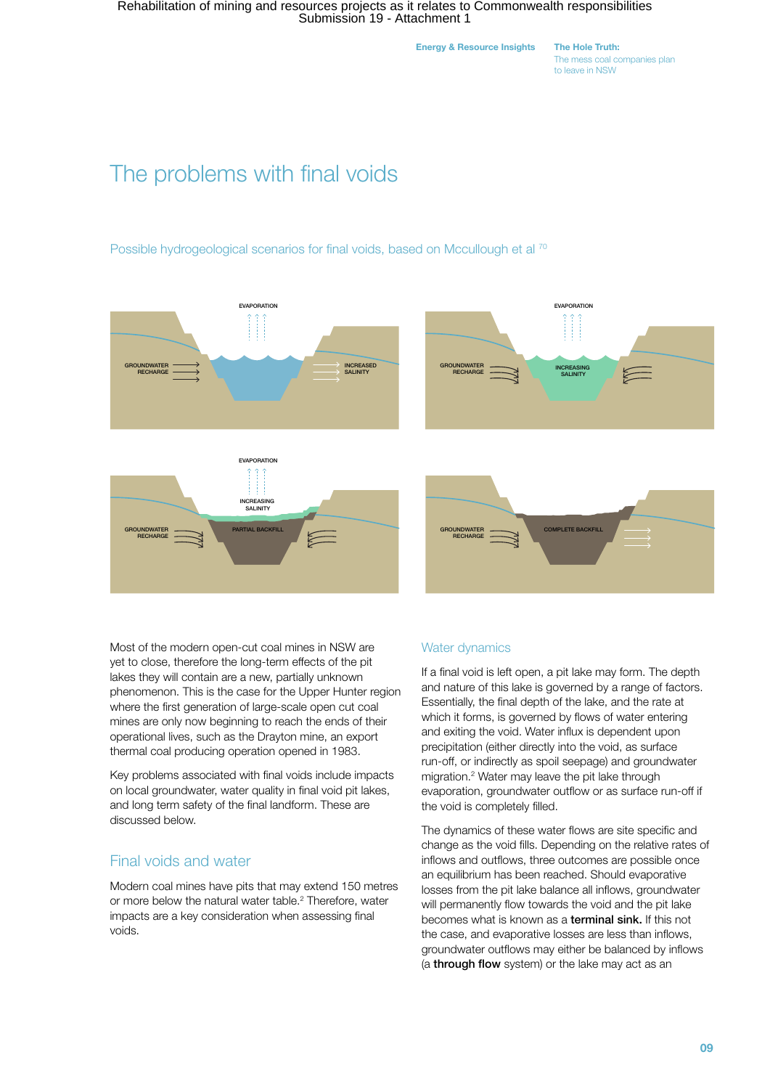Energy & Resource Insights The Hole Truth:

The mess coal companies plan to leave in NSW

# The problems with final voids

Possible hydrogeological scenarios for final voids, based on Mccullough et al <sup>70</sup>







Most of the modern open-cut coal mines in NSW are yet to close, therefore the long-term effects of the pit lakes they will contain are a new, partially unknown phenomenon. This is the case for the Upper Hunter region where the first generation of large-scale open cut coal mines are only now beginning to reach the ends of their operational lives, such as the Drayton mine, an export thermal coal producing operation opened in 1983.

Key problems associated with final voids include impacts on local groundwater, water quality in final void pit lakes, and long term safety of the final landform. These are discussed below.

### Final voids and water

Modern coal mines have pits that may extend 150 metres or more below the natural water table.<sup>2</sup> Therefore, water impacts are a key consideration when assessing final voids.

#### Water dynamics

If a final void is left open, a pit lake may form. The depth and nature of this lake is governed by a range of factors. Essentially, the final depth of the lake, and the rate at which it forms, is governed by flows of water entering and exiting the void. Water influx is dependent upon precipitation (either directly into the void, as surface run-off, or indirectly as spoil seepage) and groundwater migration.2 Water may leave the pit lake through evaporation, groundwater outflow or as surface run-off if the void is completely filled.

The dynamics of these water flows are site specific and change as the void fills. Depending on the relative rates of inflows and outflows, three outcomes are possible once an equilibrium has been reached. Should evaporative losses from the pit lake balance all inflows, groundwater will permanently flow towards the void and the pit lake becomes what is known as a terminal sink. If this not the case, and evaporative losses are less than inflows, groundwater outflows may either be balanced by inflows (a through flow system) or the lake may act as an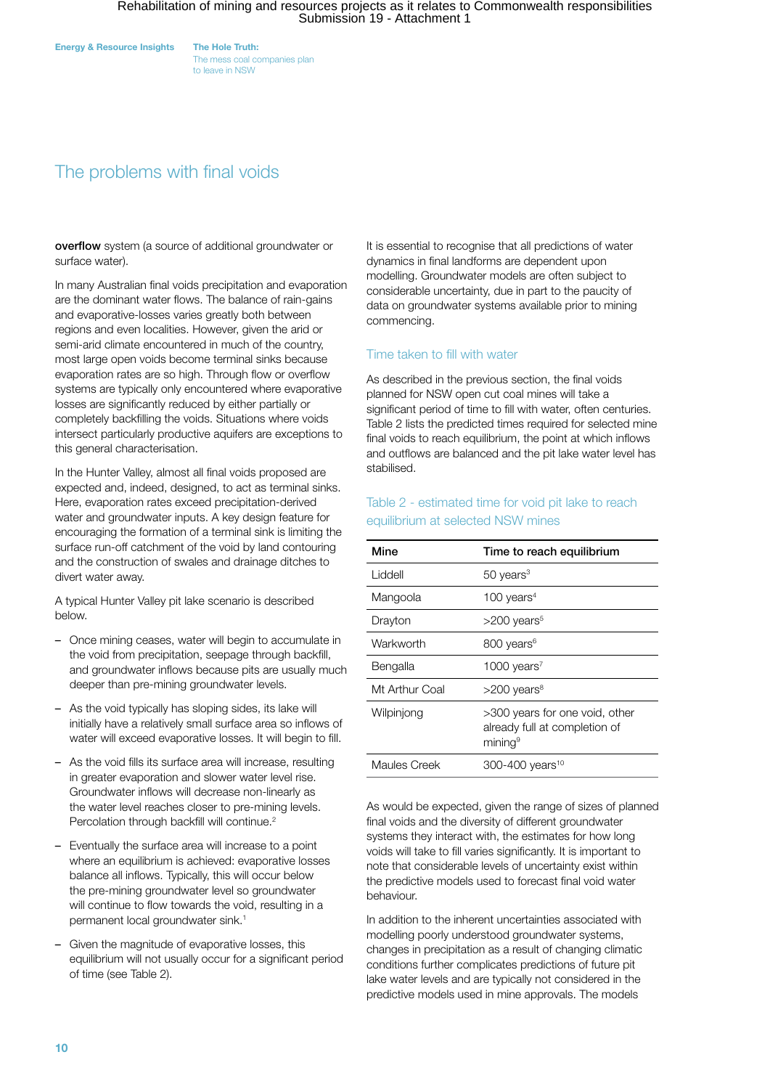The mess coal companies plan to leave in NSW

### The problems with final voids

overflow system (a source of additional groundwater or surface water).

In many Australian final voids precipitation and evaporation are the dominant water flows. The balance of rain-gains and evaporative-losses varies greatly both between regions and even localities. However, given the arid or semi-arid climate encountered in much of the country, most large open voids become terminal sinks because evaporation rates are so high. Through flow or overflow systems are typically only encountered where evaporative losses are significantly reduced by either partially or completely backfilling the voids. Situations where voids intersect particularly productive aquifers are exceptions to this general characterisation.

In the Hunter Valley, almost all final voids proposed are expected and, indeed, designed, to act as terminal sinks. Here, evaporation rates exceed precipitation-derived water and groundwater inputs. A key design feature for encouraging the formation of a terminal sink is limiting the surface run-off catchment of the void by land contouring and the construction of swales and drainage ditches to divert water away.

A typical Hunter Valley pit lake scenario is described below.

- Once mining ceases, water will begin to accumulate in the void from precipitation, seepage through backfill, and groundwater inflows because pits are usually much deeper than pre-mining groundwater levels.
- As the void typically has sloping sides, its lake will initially have a relatively small surface area so inflows of water will exceed evaporative losses. It will begin to fill.
- As the void fills its surface area will increase, resulting in greater evaporation and slower water level rise. Groundwater inflows will decrease non-linearly as the water level reaches closer to pre-mining levels. Percolation through backfill will continue.<sup>2</sup>
- Eventually the surface area will increase to a point where an equilibrium is achieved: evaporative losses balance all inflows. Typically, this will occur below the pre-mining groundwater level so groundwater will continue to flow towards the void, resulting in a permanent local groundwater sink.<sup>1</sup>
- Given the magnitude of evaporative losses, this equilibrium will not usually occur for a significant period of time (see Table 2).

It is essential to recognise that all predictions of water dynamics in final landforms are dependent upon modelling. Groundwater models are often subject to considerable uncertainty, due in part to the paucity of data on groundwater systems available prior to mining commencing.

#### Time taken to fill with water

As described in the previous section, the final voids planned for NSW open cut coal mines will take a significant period of time to fill with water, often centuries. Table 2 lists the predicted times required for selected mine final voids to reach equilibrium, the point at which inflows and outflows are balanced and the pit lake water level has stabilised.

#### Table 2 - estimated time for void pit lake to reach equilibrium at selected NSW mines

| Mine           | Time to reach equilibrium                                                              |
|----------------|----------------------------------------------------------------------------------------|
| Liddell        | $50$ years <sup>3</sup>                                                                |
| Mangoola       | 100 years $4$                                                                          |
| Drayton        | $>200$ years <sup>5</sup>                                                              |
| Warkworth      | 800 years <sup>6</sup>                                                                 |
| Bengalla       | 1000 years <sup>7</sup>                                                                |
| Mt Arthur Coal | >200 years <sup>8</sup>                                                                |
| Wilpinjong     | >300 years for one void, other<br>already full at completion of<br>mining <sup>9</sup> |
| Maules Creek   | 300-400 years <sup>10</sup>                                                            |

As would be expected, given the range of sizes of planned final voids and the diversity of different groundwater systems they interact with, the estimates for how long voids will take to fill varies significantly. It is important to note that considerable levels of uncertainty exist within the predictive models used to forecast final void water behaviour.

In addition to the inherent uncertainties associated with modelling poorly understood groundwater systems, changes in precipitation as a result of changing climatic conditions further complicates predictions of future pit lake water levels and are typically not considered in the predictive models used in mine approvals. The models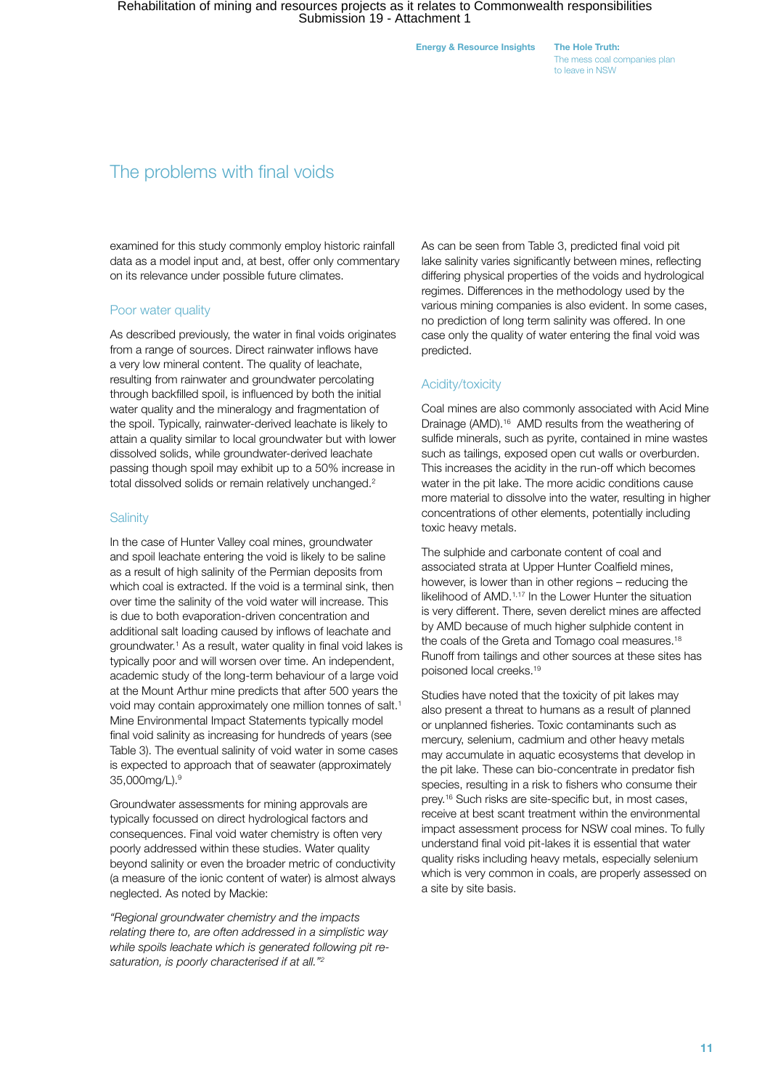Energy & Resource Insights The Hole Truth:

The mess coal companies plan to leave in NSW

### The problems with final voids

examined for this study commonly employ historic rainfall data as a model input and, at best, offer only commentary on its relevance under possible future climates.

#### Poor water quality

As described previously, the water in final voids originates from a range of sources. Direct rainwater inflows have a very low mineral content. The quality of leachate, resulting from rainwater and groundwater percolating through backfilled spoil, is influenced by both the initial water quality and the mineralogy and fragmentation of the spoil. Typically, rainwater-derived leachate is likely to attain a quality similar to local groundwater but with lower dissolved solids, while groundwater-derived leachate passing though spoil may exhibit up to a 50% increase in total dissolved solids or remain relatively unchanged.<sup>2</sup>

#### **Salinity**

In the case of Hunter Valley coal mines, groundwater and spoil leachate entering the void is likely to be saline as a result of high salinity of the Permian deposits from which coal is extracted. If the void is a terminal sink, then over time the salinity of the void water will increase. This is due to both evaporation-driven concentration and additional salt loading caused by inflows of leachate and groundwater.<sup>1</sup> As a result, water quality in final void lakes is typically poor and will worsen over time. An independent, academic study of the long-term behaviour of a large void at the Mount Arthur mine predicts that after 500 years the void may contain approximately one million tonnes of salt.<sup>1</sup> Mine Environmental Impact Statements typically model final void salinity as increasing for hundreds of years (see Table 3). The eventual salinity of void water in some cases is expected to approach that of seawater (approximately 35,000mg/L).9

Groundwater assessments for mining approvals are typically focussed on direct hydrological factors and consequences. Final void water chemistry is often very poorly addressed within these studies. Water quality beyond salinity or even the broader metric of conductivity (a measure of the ionic content of water) is almost always neglected. As noted by Mackie:

*"Regional groundwater chemistry and the impacts relating there to, are often addressed in a simplistic way while spoils leachate which is generated following pit resaturation, is poorly characterised if at all."2*

As can be seen from Table 3, predicted final void pit lake salinity varies significantly between mines, reflecting differing physical properties of the voids and hydrological regimes. Differences in the methodology used by the various mining companies is also evident. In some cases, no prediction of long term salinity was offered. In one case only the quality of water entering the final void was predicted.

#### Acidity/toxicity

Coal mines are also commonly associated with Acid Mine Drainage (AMD).16 AMD results from the weathering of sulfide minerals, such as pyrite, contained in mine wastes such as tailings, exposed open cut walls or overburden. This increases the acidity in the run-off which becomes water in the pit lake. The more acidic conditions cause more material to dissolve into the water, resulting in higher concentrations of other elements, potentially including toxic heavy metals.

The sulphide and carbonate content of coal and associated strata at Upper Hunter Coalfield mines, however, is lower than in other regions – reducing the likelihood of AMD.1,17 In the Lower Hunter the situation is very different. There, seven derelict mines are affected by AMD because of much higher sulphide content in the coals of the Greta and Tomago coal measures.<sup>18</sup> Runoff from tailings and other sources at these sites has poisoned local creeks.19

Studies have noted that the toxicity of pit lakes may also present a threat to humans as a result of planned or unplanned fisheries. Toxic contaminants such as mercury, selenium, cadmium and other heavy metals may accumulate in aquatic ecosystems that develop in the pit lake. These can bio-concentrate in predator fish species, resulting in a risk to fishers who consume their prey.16 Such risks are site-specific but, in most cases, receive at best scant treatment within the environmental impact assessment process for NSW coal mines. To fully understand final void pit-lakes it is essential that water quality risks including heavy metals, especially selenium which is very common in coals, are properly assessed on a site by site basis.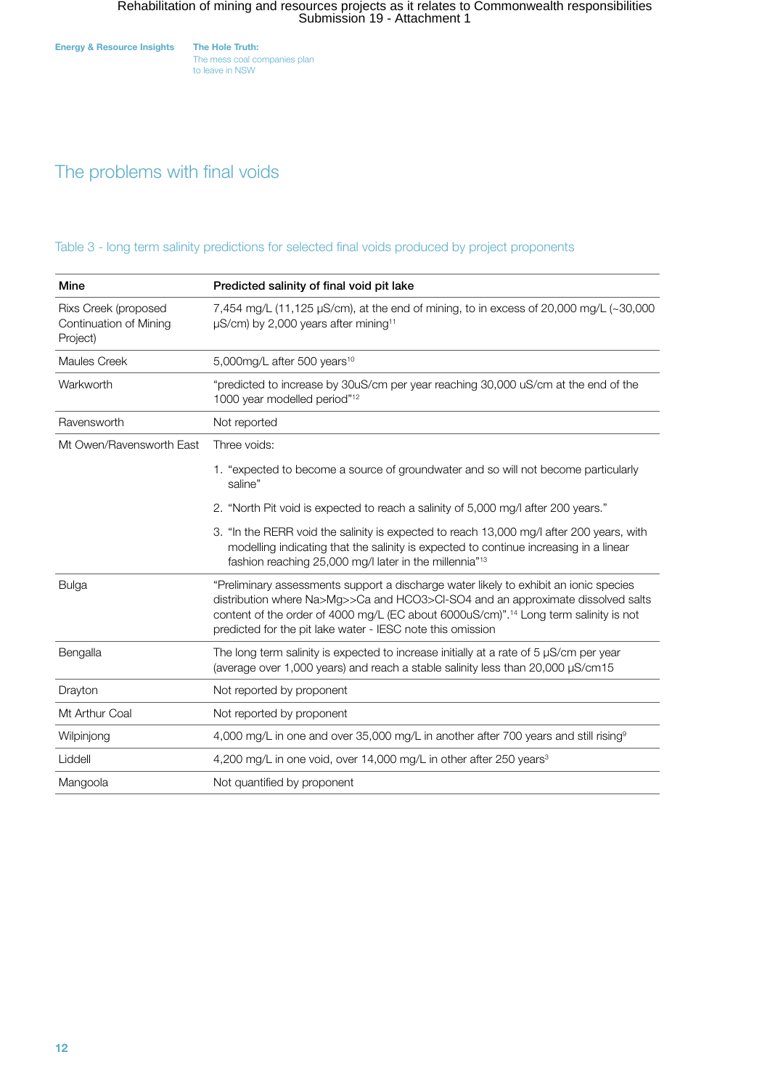The mess coal companies plan to leave in NSW

### The problems with final voids

Table 3 - long term salinity predictions for selected final voids produced by project proponents

| Mine                                                       | Predicted salinity of final void pit lake                                                                                                                                                                                                                                                                                                  |
|------------------------------------------------------------|--------------------------------------------------------------------------------------------------------------------------------------------------------------------------------------------------------------------------------------------------------------------------------------------------------------------------------------------|
| Rixs Creek (proposed<br>Continuation of Mining<br>Project) | 7,454 mg/L (11,125 µS/cm), at the end of mining, to in excess of 20,000 mg/L $\sim$ 30,000<br>µS/cm) by 2,000 years after mining <sup>11</sup>                                                                                                                                                                                             |
| <b>Maules Creek</b>                                        | 5,000mg/L after 500 years <sup>10</sup>                                                                                                                                                                                                                                                                                                    |
| Warkworth                                                  | "predicted to increase by 30uS/cm per year reaching 30,000 uS/cm at the end of the<br>1000 year modelled period" <sup>12</sup>                                                                                                                                                                                                             |
| Ravensworth                                                | Not reported                                                                                                                                                                                                                                                                                                                               |
| Mt Owen/Ravensworth East                                   | Three voids:                                                                                                                                                                                                                                                                                                                               |
|                                                            | 1. "expected to become a source of groundwater and so will not become particularly<br>saline"                                                                                                                                                                                                                                              |
|                                                            | 2. "North Pit void is expected to reach a salinity of 5,000 mg/l after 200 years."                                                                                                                                                                                                                                                         |
|                                                            | 3. "In the RERR void the salinity is expected to reach 13,000 mg/l after 200 years, with<br>modelling indicating that the salinity is expected to continue increasing in a linear<br>fashion reaching 25,000 mg/l later in the millennia" <sup>13</sup>                                                                                    |
| <b>Bulga</b>                                               | "Preliminary assessments support a discharge water likely to exhibit an ionic species<br>distribution where Na>Mg>>Ca and HCO3>Cl-SO4 and an approximate dissolved salts<br>content of the order of 4000 mg/L (EC about 6000uS/cm)". <sup>14</sup> Long term salinity is not<br>predicted for the pit lake water - IESC note this omission |
| Bengalla                                                   | The long term salinity is expected to increase initially at a rate of $5 \mu$ S/cm per year<br>(average over 1,000 years) and reach a stable salinity less than 20,000 µS/cm15                                                                                                                                                             |
| Drayton                                                    | Not reported by proponent                                                                                                                                                                                                                                                                                                                  |
| Mt Arthur Coal                                             | Not reported by proponent                                                                                                                                                                                                                                                                                                                  |
| Wilpinjong                                                 | 4,000 mg/L in one and over 35,000 mg/L in another after 700 years and still rising <sup>9</sup>                                                                                                                                                                                                                                            |
| Liddell                                                    | 4,200 mg/L in one void, over 14,000 mg/L in other after 250 years <sup>3</sup>                                                                                                                                                                                                                                                             |
| Mangoola                                                   | Not quantified by proponent                                                                                                                                                                                                                                                                                                                |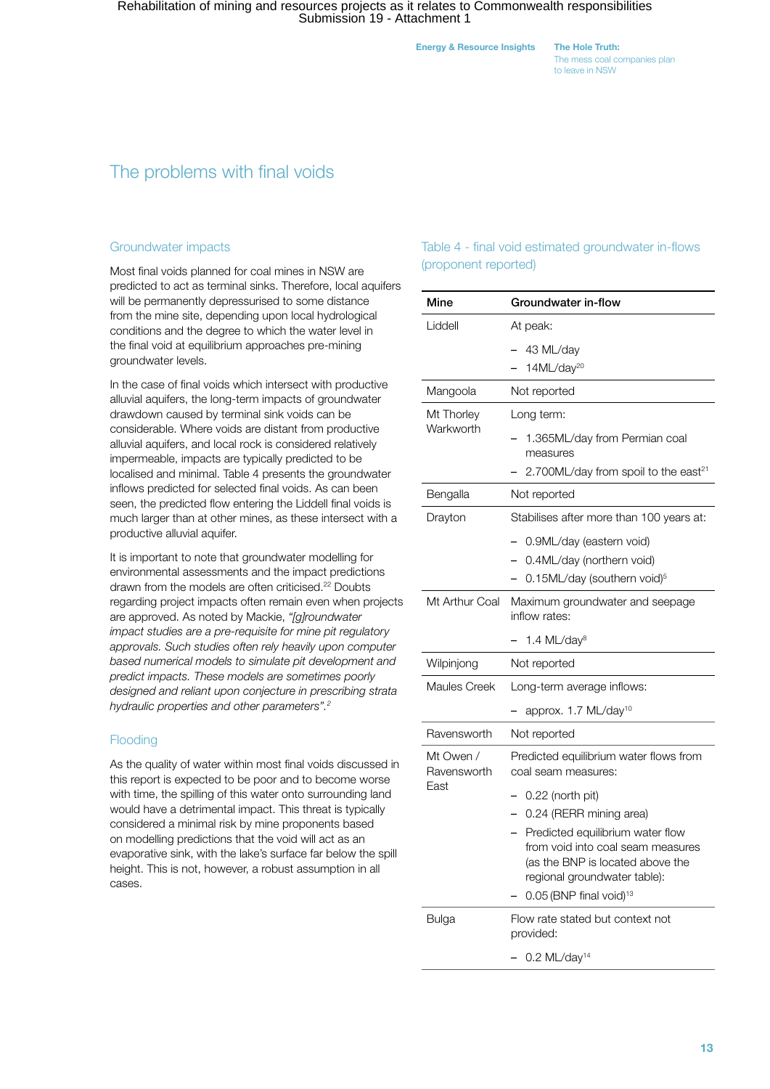The mess coal companies plan to leave in NSW

### The problems with final voids

#### Groundwater impacts

Most final voids planned for coal mines in NSW are predicted to act as terminal sinks. Therefore, local aquifers will be permanently depressurised to some distance from the mine site, depending upon local hydrological conditions and the degree to which the water level in the final void at equilibrium approaches pre-mining groundwater levels.

In the case of final voids which intersect with productive alluvial aquifers, the long-term impacts of groundwater drawdown caused by terminal sink voids can be considerable. Where voids are distant from productive alluvial aquifers, and local rock is considered relatively impermeable, impacts are typically predicted to be localised and minimal. Table 4 presents the groundwater inflows predicted for selected final voids. As can been seen, the predicted flow entering the Liddell final voids is much larger than at other mines, as these intersect with a productive alluvial aquifer.

It is important to note that groundwater modelling for environmental assessments and the impact predictions drawn from the models are often criticised.<sup>22</sup> Doubts regarding project impacts often remain even when projects are approved. As noted by Mackie, *"[g]roundwater impact studies are a pre-requisite for mine pit regulatory approvals. Such studies often rely heavily upon computer based numerical models to simulate pit development and predict impacts. These models are sometimes poorly designed and reliant upon conjecture in prescribing strata hydraulic properties and other parameters".2*

#### **Flooding**

As the quality of water within most final voids discussed in this report is expected to be poor and to become worse with time, the spilling of this water onto surrounding land would have a detrimental impact. This threat is typically considered a minimal risk by mine proponents based on modelling predictions that the void will act as an evaporative sink, with the lake's surface far below the spill height. This is not, however, a robust assumption in all cases.

#### Table 4 - final void estimated groundwater in-flows (proponent reported)

| Mine                             | Groundwater in-flow                                                                                                                                                                                          |
|----------------------------------|--------------------------------------------------------------------------------------------------------------------------------------------------------------------------------------------------------------|
| Liddell                          | At peak:                                                                                                                                                                                                     |
|                                  | 43 ML/day                                                                                                                                                                                                    |
|                                  | 14ML/day <sup>20</sup>                                                                                                                                                                                       |
| Mangoola                         | Not reported                                                                                                                                                                                                 |
| Mt Thorley                       | Long term:                                                                                                                                                                                                   |
| Warkworth                        | 1.365ML/day from Permian coal                                                                                                                                                                                |
|                                  | measures<br>2.700ML/day from spoil to the east <sup>21</sup>                                                                                                                                                 |
| Bengalla                         | Not reported                                                                                                                                                                                                 |
| Drayton                          | Stabilises after more than 100 years at:                                                                                                                                                                     |
|                                  |                                                                                                                                                                                                              |
|                                  | 0.9ML/day (eastern void)<br>0.4ML/day (northern void)                                                                                                                                                        |
|                                  | 0.15ML/day (southern void) <sup>5</sup>                                                                                                                                                                      |
| Mt Arthur Coal                   | Maximum groundwater and seepage<br>inflow rates:                                                                                                                                                             |
|                                  | 1.4 ML/day <sup>8</sup>                                                                                                                                                                                      |
| Wilpinjong                       | Not reported                                                                                                                                                                                                 |
| <b>Maules Creek</b>              | Long-term average inflows:                                                                                                                                                                                   |
|                                  | approx. 1.7 ML/day <sup>10</sup>                                                                                                                                                                             |
| Ravensworth                      | Not reported                                                                                                                                                                                                 |
| Mt Owen /<br>Ravensworth<br>East | Predicted equilibrium water flows from<br>coal seam measures:                                                                                                                                                |
|                                  | 0.22 (north pit)                                                                                                                                                                                             |
|                                  | 0.24 (RERR mining area)<br>$\overline{\phantom{0}}$                                                                                                                                                          |
|                                  | Predicted equilibrium water flow<br>$\overline{\phantom{0}}$<br>from void into coal seam measures<br>(as the BNP is located above the<br>regional groundwater table):<br>0.05 (BNP final void) <sup>13</sup> |
| <b>Bulga</b>                     | Flow rate stated but context not<br>provided:                                                                                                                                                                |
|                                  | $0.2$ ML/day <sup>14</sup>                                                                                                                                                                                   |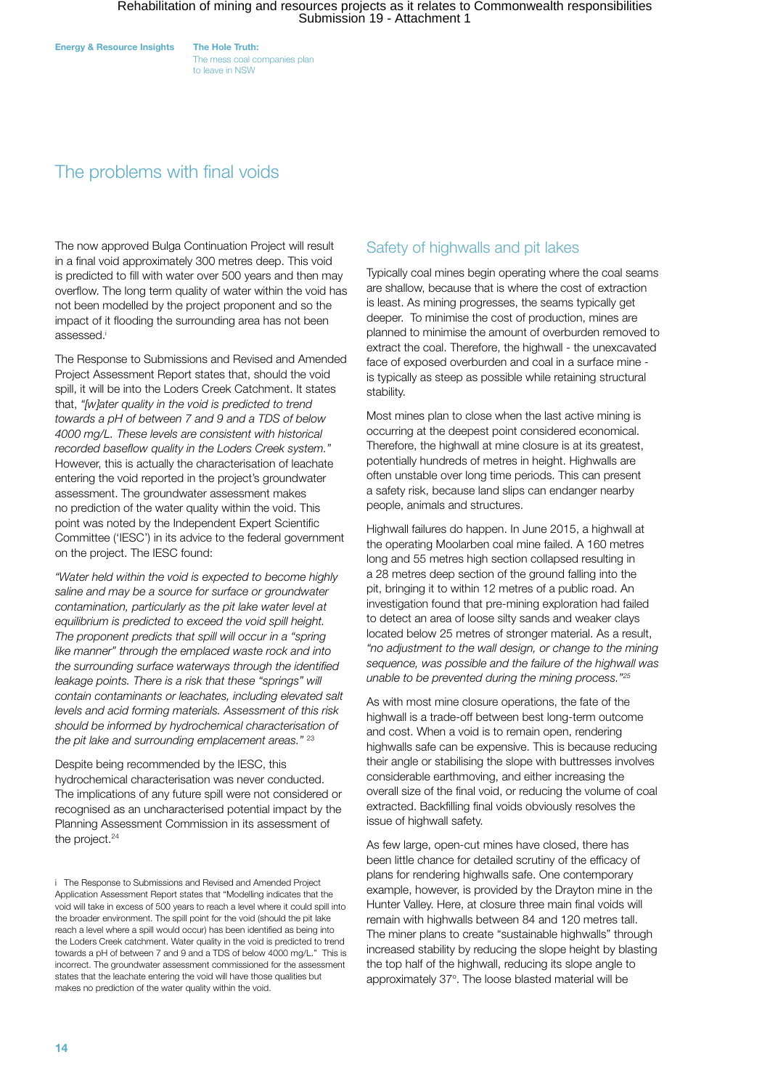The mess coal companies plan to leave in NSW

### The problems with final voids

The now approved Bulga Continuation Project will result in a final void approximately 300 metres deep. This void is predicted to fill with water over 500 years and then may overflow. The long term quality of water within the void has not been modelled by the project proponent and so the impact of it flooding the surrounding area has not been assessed.i

The Response to Submissions and Revised and Amended Project Assessment Report states that, should the void spill, it will be into the Loders Creek Catchment. It states that, *"[w]ater quality in the void is predicted to trend towards a pH of between 7 and 9 and a TDS of below 4000 mg/L. These levels are consistent with historical recorded baseflow quality in the Loders Creek system."* However, this is actually the characterisation of leachate entering the void reported in the project's groundwater assessment. The groundwater assessment makes no prediction of the water quality within the void. This point was noted by the Independent Expert Scientific Committee ('IESC') in its advice to the federal government on the project. The IESC found:

*"Water held within the void is expected to become highly saline and may be a source for surface or groundwater contamination, particularly as the pit lake water level at equilibrium is predicted to exceed the void spill height. The proponent predicts that spill will occur in a "spring like manner" through the emplaced waste rock and into the surrounding surface waterways through the identified leakage points. There is a risk that these "springs" will contain contaminants or leachates, including elevated salt levels and acid forming materials. Assessment of this risk should be informed by hydrochemical characterisation of the pit lake and surrounding emplacement areas."* <sup>23</sup>

Despite being recommended by the IESC, this hydrochemical characterisation was never conducted. The implications of any future spill were not considered or recognised as an uncharacterised potential impact by the Planning Assessment Commission in its assessment of the project.<sup>24</sup>

#### Safety of highwalls and pit lakes

Typically coal mines begin operating where the coal seams are shallow, because that is where the cost of extraction is least. As mining progresses, the seams typically get deeper. To minimise the cost of production, mines are planned to minimise the amount of overburden removed to extract the coal. Therefore, the highwall - the unexcavated face of exposed overburden and coal in a surface mine is typically as steep as possible while retaining structural stability.

Most mines plan to close when the last active mining is occurring at the deepest point considered economical. Therefore, the highwall at mine closure is at its greatest, potentially hundreds of metres in height. Highwalls are often unstable over long time periods. This can present a safety risk, because land slips can endanger nearby people, animals and structures.

Highwall failures do happen. In June 2015, a highwall at the operating Moolarben coal mine failed. A 160 metres long and 55 metres high section collapsed resulting in a 28 metres deep section of the ground falling into the pit, bringing it to within 12 metres of a public road. An investigation found that pre-mining exploration had failed to detect an area of loose silty sands and weaker clays located below 25 metres of stronger material. As a result, *"no adjustment to the wall design, or change to the mining sequence, was possible and the failure of the highwall was unable to be prevented during the mining process."25*

As with most mine closure operations, the fate of the highwall is a trade-off between best long-term outcome and cost. When a void is to remain open, rendering highwalls safe can be expensive. This is because reducing their angle or stabilising the slope with buttresses involves considerable earthmoving, and either increasing the overall size of the final void, or reducing the volume of coal extracted. Backfilling final voids obviously resolves the issue of highwall safety.

As few large, open-cut mines have closed, there has been little chance for detailed scrutiny of the efficacy of plans for rendering highwalls safe. One contemporary example, however, is provided by the Drayton mine in the Hunter Valley. Here, at closure three main final voids will remain with highwalls between 84 and 120 metres tall. The miner plans to create "sustainable highwalls" through increased stability by reducing the slope height by blasting the top half of the highwall, reducing its slope angle to approximately 37°. The loose blasted material will be

i The Response to Submissions and Revised and Amended Project Application Assessment Report states that "Modelling indicates that the void will take in excess of 500 years to reach a level where it could spill into the broader environment. The spill point for the void (should the pit lake reach a level where a spill would occur) has been identified as being into the Loders Creek catchment. Water quality in the void is predicted to trend towards a pH of between 7 and 9 and a TDS of below 4000 mg/L." This is incorrect. The groundwater assessment commissioned for the assessment states that the leachate entering the void will have those qualities but makes no prediction of the water quality within the void.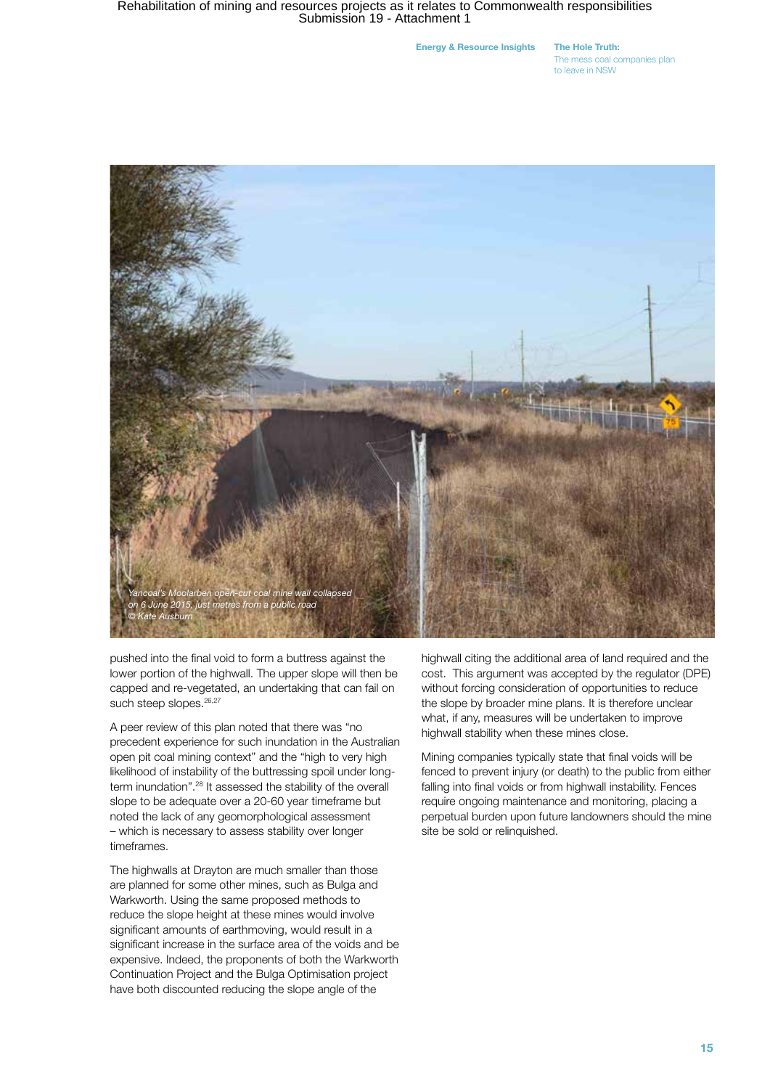Energy & Resource Insights The Hole Truth:

The mess coal companies plan to leave in NSW



pushed into the final void to form a buttress against the lower portion of the highwall. The upper slope will then be capped and re-vegetated, an undertaking that can fail on such steep slopes.<sup>26,27</sup>

A peer review of this plan noted that there was "no precedent experience for such inundation in the Australian open pit coal mining context" and the "high to very high likelihood of instability of the buttressing spoil under longterm inundation".28 It assessed the stability of the overall slope to be adequate over a 20-60 year timeframe but noted the lack of any geomorphological assessment – which is necessary to assess stability over longer timeframes.

The highwalls at Drayton are much smaller than those are planned for some other mines, such as Bulga and Warkworth. Using the same proposed methods to reduce the slope height at these mines would involve significant amounts of earthmoving, would result in a significant increase in the surface area of the voids and be expensive. Indeed, the proponents of both the Warkworth Continuation Project and the Bulga Optimisation project have both discounted reducing the slope angle of the

highwall citing the additional area of land required and the cost. This argument was accepted by the regulator (DPE) without forcing consideration of opportunities to reduce the slope by broader mine plans. It is therefore unclear what, if any, measures will be undertaken to improve highwall stability when these mines close.

Mining companies typically state that final voids will be fenced to prevent injury (or death) to the public from either falling into final voids or from highwall instability. Fences require ongoing maintenance and monitoring, placing a perpetual burden upon future landowners should the mine site be sold or relinquished.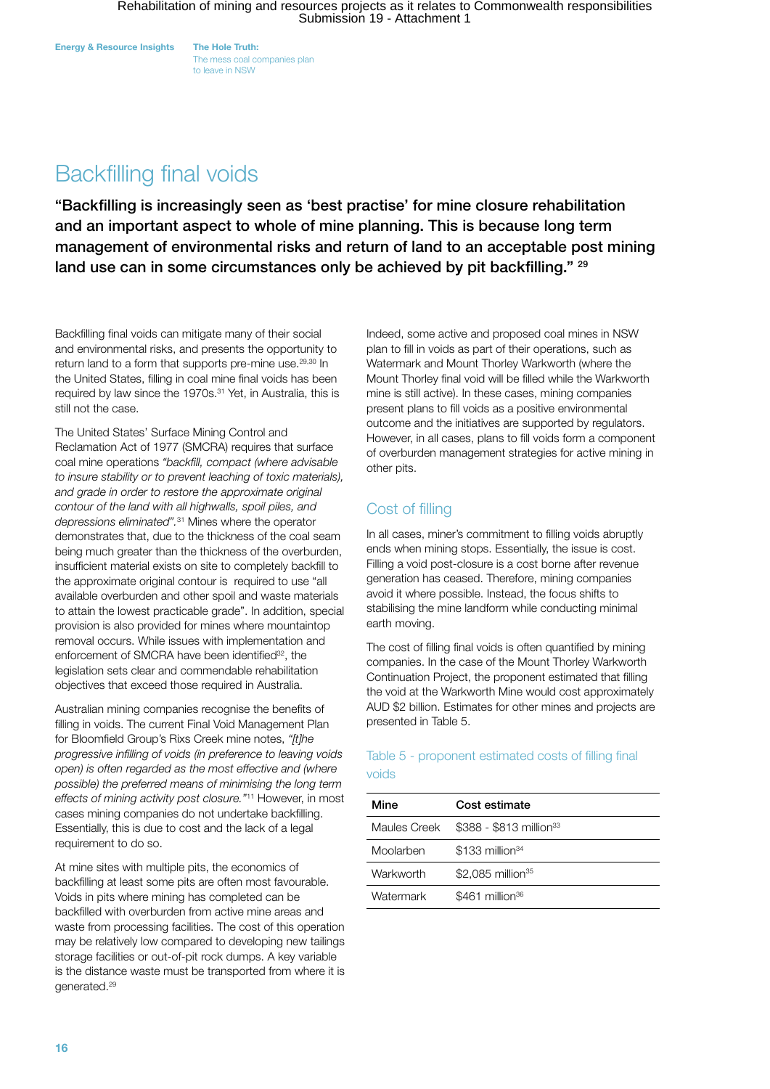The mess coal companies plan to leave in NSW

# Backfilling final voids

"Backfilling is increasingly seen as 'best practise' for mine closure rehabilitation and an important aspect to whole of mine planning. This is because long term management of environmental risks and return of land to an acceptable post mining land use can in some circumstances only be achieved by pit backfilling." 29

Backfilling final voids can mitigate many of their social and environmental risks, and presents the opportunity to return land to a form that supports pre-mine use.<sup>29,30</sup> In the United States, filling in coal mine final voids has been required by law since the 1970s.<sup>31</sup> Yet, in Australia, this is still not the case.

The United States' Surface Mining Control and Reclamation Act of 1977 (SMCRA) requires that surface coal mine operations *"backfill, compact (where advisable to insure stability or to prevent leaching of toxic materials), and grade in order to restore the approximate original contour of the land with all highwalls, spoil piles, and depressions eliminated".*31 Mines where the operator demonstrates that, due to the thickness of the coal seam being much greater than the thickness of the overburden, insufficient material exists on site to completely backfill to the approximate original contour is required to use "all available overburden and other spoil and waste materials to attain the lowest practicable grade". In addition, special provision is also provided for mines where mountaintop removal occurs. While issues with implementation and enforcement of SMCRA have been identified<sup>32</sup>, the legislation sets clear and commendable rehabilitation objectives that exceed those required in Australia.

Australian mining companies recognise the benefits of filling in voids. The current Final Void Management Plan for Bloomfield Group's Rixs Creek mine notes, *"[t]he progressive infilling of voids (in preference to leaving voids open) is often regarded as the most effective and (where possible) the preferred means of minimising the long term effects of mining activity post closure."*11 However, in most cases mining companies do not undertake backfilling. Essentially, this is due to cost and the lack of a legal requirement to do so.

At mine sites with multiple pits, the economics of backfilling at least some pits are often most favourable. Voids in pits where mining has completed can be backfilled with overburden from active mine areas and waste from processing facilities. The cost of this operation may be relatively low compared to developing new tailings storage facilities or out-of-pit rock dumps. A key variable is the distance waste must be transported from where it is generated.29

Indeed, some active and proposed coal mines in NSW plan to fill in voids as part of their operations, such as Watermark and Mount Thorley Warkworth (where the Mount Thorley final void will be filled while the Warkworth mine is still active). In these cases, mining companies present plans to fill voids as a positive environmental outcome and the initiatives are supported by regulators. However, in all cases, plans to fill voids form a component of overburden management strategies for active mining in other pits.

### Cost of filling

In all cases, miner's commitment to filling voids abruptly ends when mining stops. Essentially, the issue is cost. Filling a void post-closure is a cost borne after revenue generation has ceased. Therefore, mining companies avoid it where possible. Instead, the focus shifts to stabilising the mine landform while conducting minimal earth moving.

The cost of filling final voids is often quantified by mining companies. In the case of the Mount Thorley Warkworth Continuation Project, the proponent estimated that filling the void at the Warkworth Mine would cost approximately AUD \$2 billion. Estimates for other mines and projects are presented in Table 5.

#### Table 5 - proponent estimated costs of filling final voids

| Mine         | Cost estimate                       |
|--------------|-------------------------------------|
| Maules Creek | \$388 - \$813 million <sup>33</sup> |
| Moolarben    | $$133$ million <sup>34</sup>        |
| Warkworth    | $$2,085$ million <sup>35</sup>      |
| Watermark    | $$461$ million <sup>36</sup>        |
|              |                                     |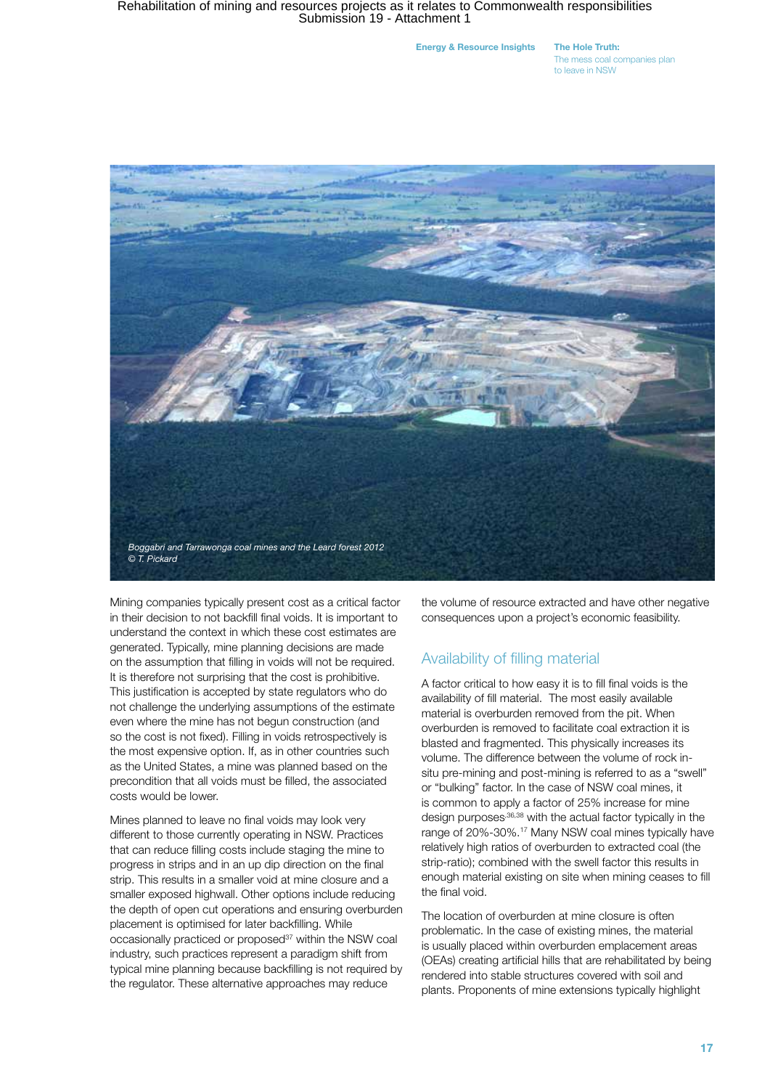Energy & Resource Insights The Hole Truth:

The mess coal companies plan to leave in NSW



Mining companies typically present cost as a critical factor in their decision to not backfill final voids. It is important to understand the context in which these cost estimates are generated. Typically, mine planning decisions are made on the assumption that filling in voids will not be required. It is therefore not surprising that the cost is prohibitive. This justification is accepted by state regulators who do not challenge the underlying assumptions of the estimate even where the mine has not begun construction (and so the cost is not fixed). Filling in voids retrospectively is the most expensive option. If, as in other countries such as the United States, a mine was planned based on the precondition that all voids must be filled, the associated costs would be lower.

Mines planned to leave no final voids may look very different to those currently operating in NSW. Practices that can reduce filling costs include staging the mine to progress in strips and in an up dip direction on the final strip. This results in a smaller void at mine closure and a smaller exposed highwall. Other options include reducing the depth of open cut operations and ensuring overburden placement is optimised for later backfilling. While occasionally practiced or proposed<sup>37</sup> within the NSW coal industry, such practices represent a paradigm shift from typical mine planning because backfilling is not required by the regulator. These alternative approaches may reduce

the volume of resource extracted and have other negative consequences upon a project's economic feasibility.

#### Availability of filling material

A factor critical to how easy it is to fill final voids is the availability of fill material. The most easily available material is overburden removed from the pit. When overburden is removed to facilitate coal extraction it is blasted and fragmented. This physically increases its volume. The difference between the volume of rock insitu pre-mining and post-mining is referred to as a "swell" or "bulking" factor. In the case of NSW coal mines, it is common to apply a factor of 25% increase for mine design purposes, 36,38 with the actual factor typically in the range of 20%-30%.17 Many NSW coal mines typically have relatively high ratios of overburden to extracted coal (the strip-ratio); combined with the swell factor this results in enough material existing on site when mining ceases to fill the final void.

The location of overburden at mine closure is often problematic. In the case of existing mines, the material is usually placed within overburden emplacement areas (OEAs) creating artificial hills that are rehabilitated by being rendered into stable structures covered with soil and plants. Proponents of mine extensions typically highlight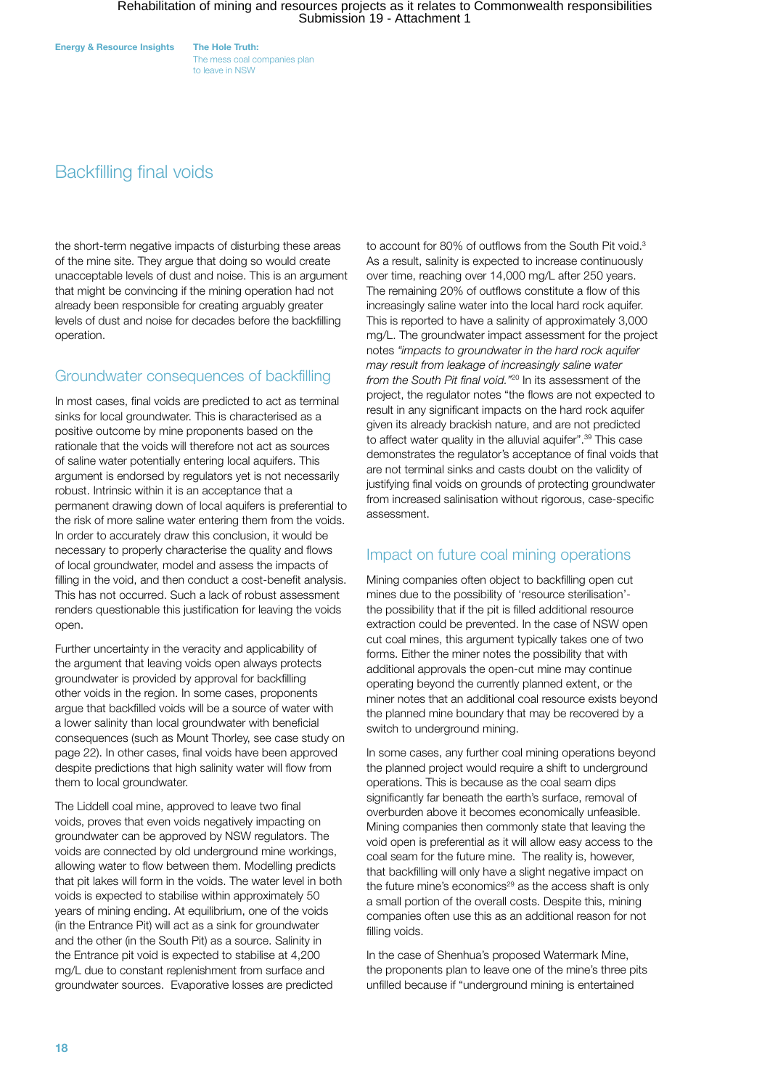The mess coal companies plan to leave in NSW

### Backfilling final voids

the short-term negative impacts of disturbing these areas of the mine site. They argue that doing so would create unacceptable levels of dust and noise. This is an argument that might be convincing if the mining operation had not already been responsible for creating arguably greater levels of dust and noise for decades before the backfilling operation.

### Groundwater consequences of backfilling

In most cases, final voids are predicted to act as terminal sinks for local groundwater. This is characterised as a positive outcome by mine proponents based on the rationale that the voids will therefore not act as sources of saline water potentially entering local aquifers. This argument is endorsed by regulators yet is not necessarily robust. Intrinsic within it is an acceptance that a permanent drawing down of local aquifers is preferential to the risk of more saline water entering them from the voids. In order to accurately draw this conclusion, it would be necessary to properly characterise the quality and flows of local groundwater, model and assess the impacts of filling in the void, and then conduct a cost-benefit analysis. This has not occurred. Such a lack of robust assessment renders questionable this justification for leaving the voids open.

Further uncertainty in the veracity and applicability of the argument that leaving voids open always protects groundwater is provided by approval for backfilling other voids in the region. In some cases, proponents argue that backfilled voids will be a source of water with a lower salinity than local groundwater with beneficial consequences (such as Mount Thorley, see case study on page 22). In other cases, final voids have been approved despite predictions that high salinity water will flow from them to local groundwater.

The Liddell coal mine, approved to leave two final voids, proves that even voids negatively impacting on groundwater can be approved by NSW regulators. The voids are connected by old underground mine workings, allowing water to flow between them. Modelling predicts that pit lakes will form in the voids. The water level in both voids is expected to stabilise within approximately 50 years of mining ending. At equilibrium, one of the voids (in the Entrance Pit) will act as a sink for groundwater and the other (in the South Pit) as a source. Salinity in the Entrance pit void is expected to stabilise at 4,200 mg/L due to constant replenishment from surface and groundwater sources. Evaporative losses are predicted

to account for 80% of outflows from the South Pit void.<sup>3</sup> As a result, salinity is expected to increase continuously over time, reaching over 14,000 mg/L after 250 years. The remaining 20% of outflows constitute a flow of this increasingly saline water into the local hard rock aquifer. This is reported to have a salinity of approximately 3,000 mg/L. The groundwater impact assessment for the project notes *"impacts to groundwater in the hard rock aquifer may result from leakage of increasingly saline water from the South Pit final void."*20 In its assessment of the project, the regulator notes "the flows are not expected to result in any significant impacts on the hard rock aquifer given its already brackish nature, and are not predicted to affect water quality in the alluvial aquifer".<sup>39</sup> This case demonstrates the regulator's acceptance of final voids that are not terminal sinks and casts doubt on the validity of justifying final voids on grounds of protecting groundwater from increased salinisation without rigorous, case-specific assessment.

### Impact on future coal mining operations

Mining companies often object to backfilling open cut mines due to the possibility of 'resource sterilisation' the possibility that if the pit is filled additional resource extraction could be prevented. In the case of NSW open cut coal mines, this argument typically takes one of two forms. Either the miner notes the possibility that with additional approvals the open-cut mine may continue operating beyond the currently planned extent, or the miner notes that an additional coal resource exists beyond the planned mine boundary that may be recovered by a switch to underground mining.

In some cases, any further coal mining operations beyond the planned project would require a shift to underground operations. This is because as the coal seam dips significantly far beneath the earth's surface, removal of overburden above it becomes economically unfeasible. Mining companies then commonly state that leaving the void open is preferential as it will allow easy access to the coal seam for the future mine. The reality is, however, that backfilling will only have a slight negative impact on the future mine's economics $29$  as the access shaft is only a small portion of the overall costs. Despite this, mining companies often use this as an additional reason for not filling voids.

In the case of Shenhua's proposed Watermark Mine, the proponents plan to leave one of the mine's three pits unfilled because if "underground mining is entertained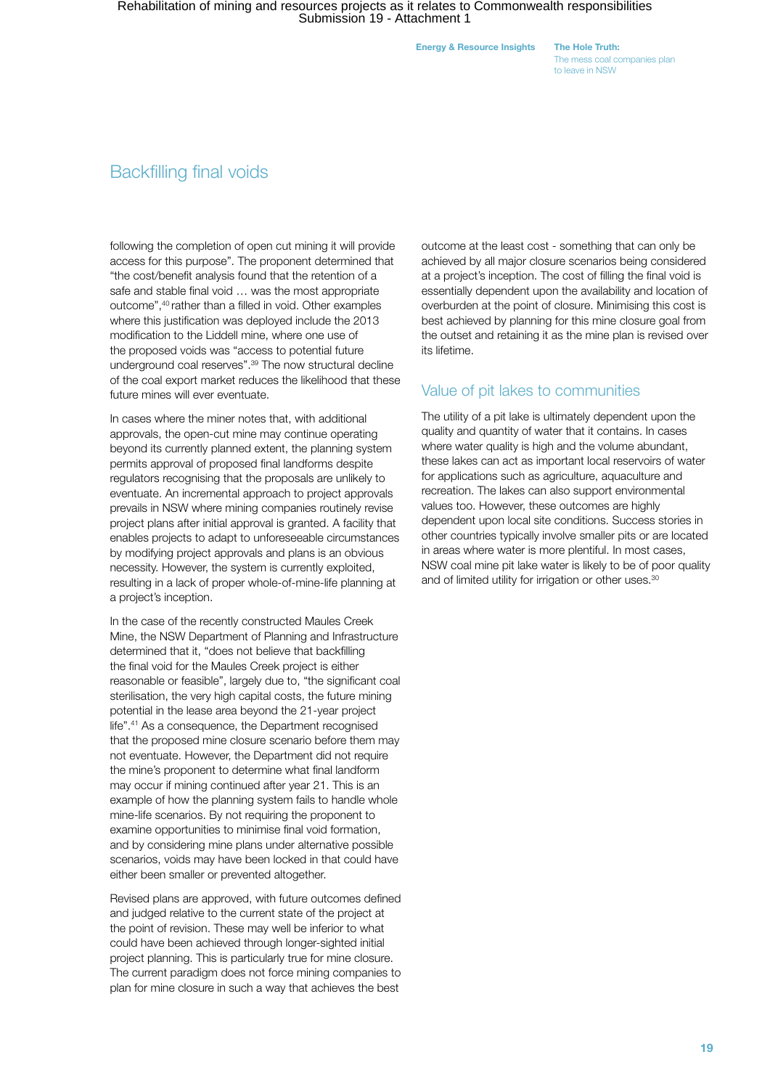Energy & Resource Insights The Hole Truth:

The mess coal companies plan to leave in NSW

### Backfilling final voids

following the completion of open cut mining it will provide access for this purpose". The proponent determined that "the cost/benefit analysis found that the retention of a safe and stable final void … was the most appropriate outcome",40 rather than a filled in void. Other examples where this justification was deployed include the 2013 modification to the Liddell mine, where one use of the proposed voids was "access to potential future underground coal reserves".39 The now structural decline of the coal export market reduces the likelihood that these future mines will ever eventuate.

In cases where the miner notes that, with additional approvals, the open-cut mine may continue operating beyond its currently planned extent, the planning system permits approval of proposed final landforms despite regulators recognising that the proposals are unlikely to eventuate. An incremental approach to project approvals prevails in NSW where mining companies routinely revise project plans after initial approval is granted. A facility that enables projects to adapt to unforeseeable circumstances by modifying project approvals and plans is an obvious necessity. However, the system is currently exploited, resulting in a lack of proper whole-of-mine-life planning at a project's inception.

In the case of the recently constructed Maules Creek Mine, the NSW Department of Planning and Infrastructure determined that it, "does not believe that backfilling the final void for the Maules Creek project is either reasonable or feasible", largely due to, "the significant coal sterilisation, the very high capital costs, the future mining potential in the lease area beyond the 21-year project life".41 As a consequence, the Department recognised that the proposed mine closure scenario before them may not eventuate. However, the Department did not require the mine's proponent to determine what final landform may occur if mining continued after year 21. This is an example of how the planning system fails to handle whole mine-life scenarios. By not requiring the proponent to examine opportunities to minimise final void formation, and by considering mine plans under alternative possible scenarios, voids may have been locked in that could have either been smaller or prevented altogether.

Revised plans are approved, with future outcomes defined and judged relative to the current state of the project at the point of revision. These may well be inferior to what could have been achieved through longer-sighted initial project planning. This is particularly true for mine closure. The current paradigm does not force mining companies to plan for mine closure in such a way that achieves the best

outcome at the least cost - something that can only be achieved by all major closure scenarios being considered at a project's inception. The cost of filling the final void is essentially dependent upon the availability and location of overburden at the point of closure. Minimising this cost is best achieved by planning for this mine closure goal from the outset and retaining it as the mine plan is revised over its lifetime.

#### Value of pit lakes to communities

The utility of a pit lake is ultimately dependent upon the quality and quantity of water that it contains. In cases where water quality is high and the volume abundant, these lakes can act as important local reservoirs of water for applications such as agriculture, aquaculture and recreation. The lakes can also support environmental values too. However, these outcomes are highly dependent upon local site conditions. Success stories in other countries typically involve smaller pits or are located in areas where water is more plentiful. In most cases, NSW coal mine pit lake water is likely to be of poor quality and of limited utility for irrigation or other uses.<sup>30</sup>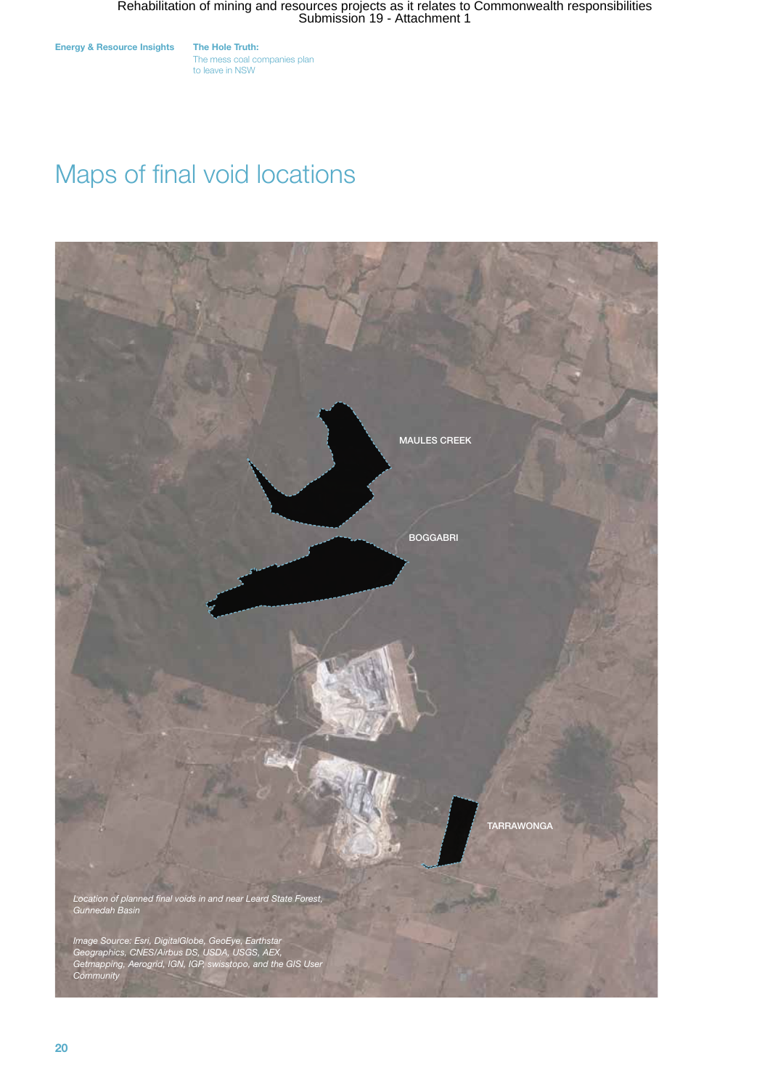The mess coal companies plan to leave in NSW

# Maps of final void locations

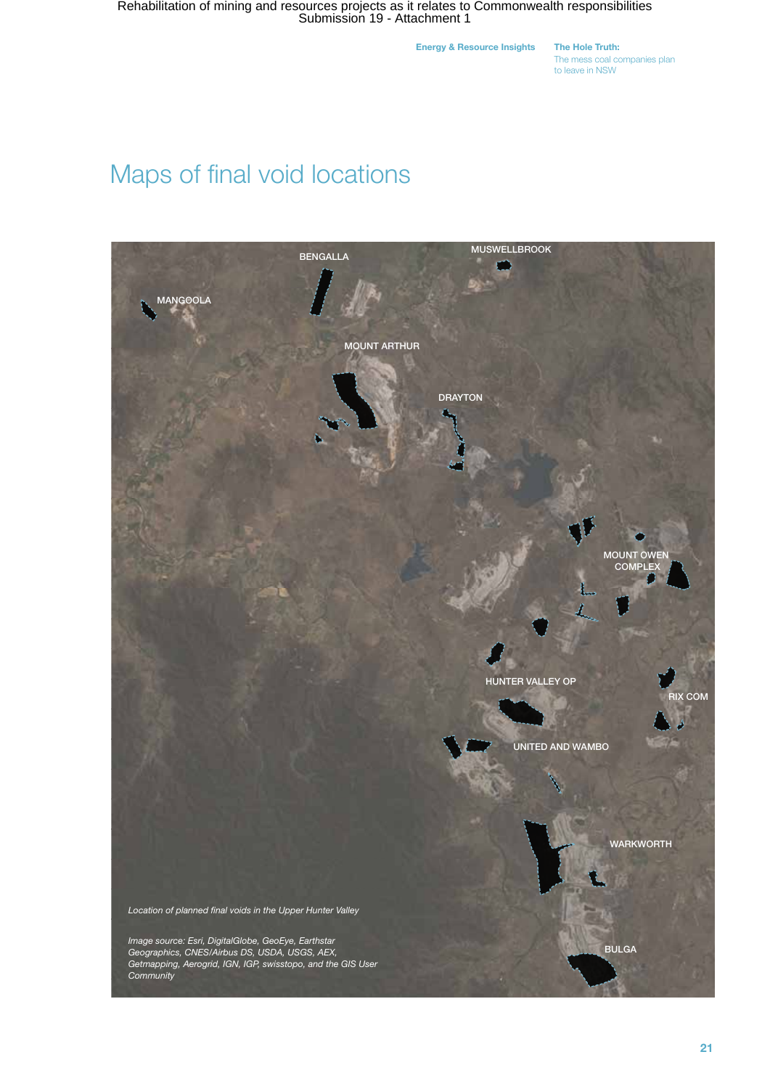Energy & Resource Insights The Hole Truth:

The mess coal companies plan to leave in NSW

# Maps of final void locations

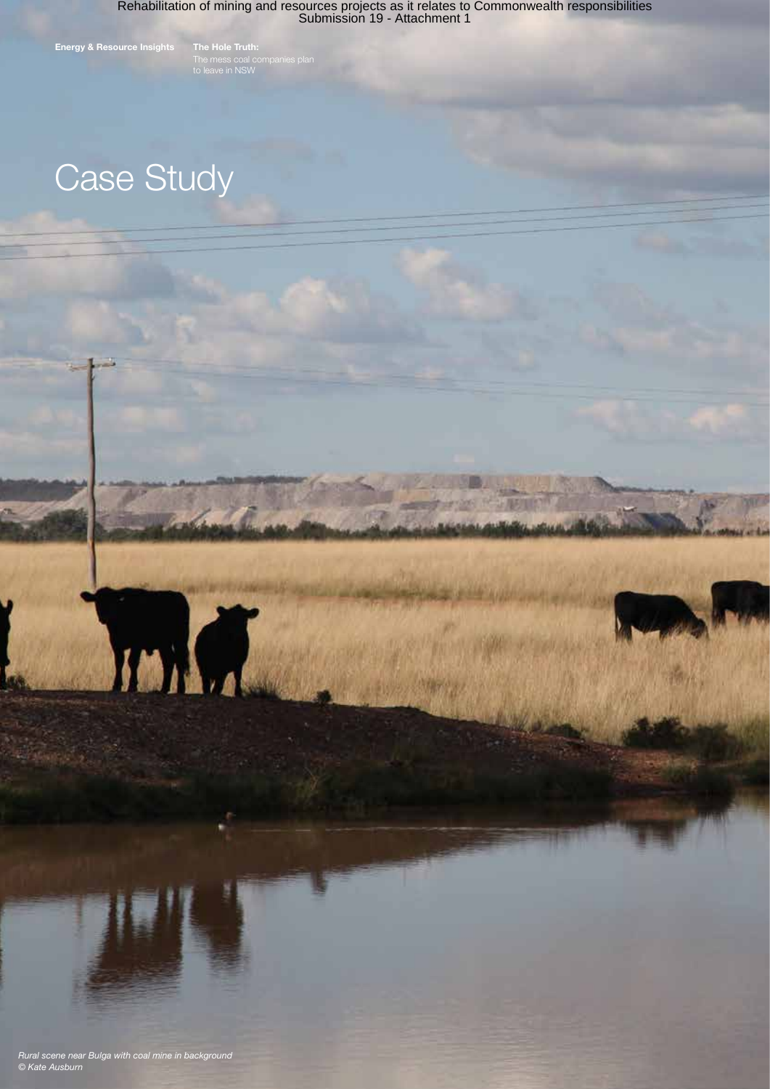Energy & Resource Insights The Hole Truth:

# Case Study

MAG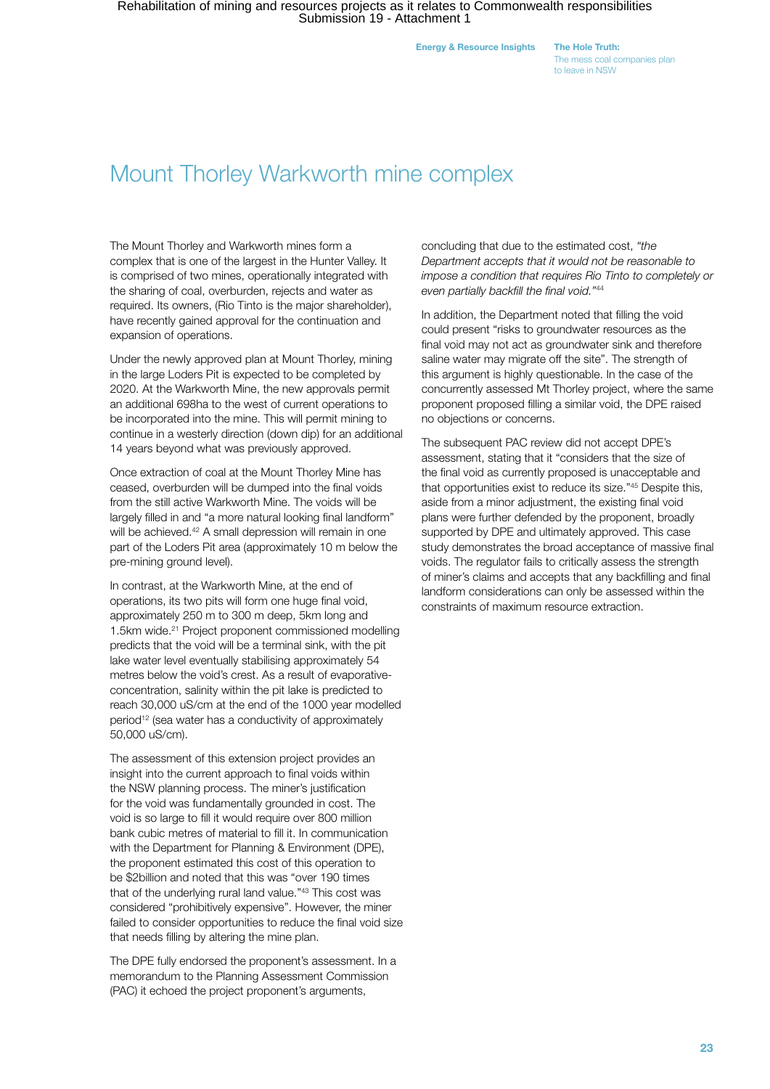Energy & Resource Insights The Hole Truth:

The mess coal companies plan to leave in NSW

## Mount Thorley Warkworth mine complex

The Mount Thorley and Warkworth mines form a complex that is one of the largest in the Hunter Valley. It is comprised of two mines, operationally integrated with the sharing of coal, overburden, rejects and water as required. Its owners, (Rio Tinto is the major shareholder), have recently gained approval for the continuation and expansion of operations.

Under the newly approved plan at Mount Thorley, mining in the large Loders Pit is expected to be completed by 2020. At the Warkworth Mine, the new approvals permit an additional 698ha to the west of current operations to be incorporated into the mine. This will permit mining to continue in a westerly direction (down dip) for an additional 14 years beyond what was previously approved.

Once extraction of coal at the Mount Thorley Mine has ceased, overburden will be dumped into the final voids from the still active Warkworth Mine. The voids will be largely filled in and "a more natural looking final landform" will be achieved.<sup>42</sup> A small depression will remain in one part of the Loders Pit area (approximately 10 m below the pre-mining ground level).

In contrast, at the Warkworth Mine, at the end of operations, its two pits will form one huge final void, approximately 250 m to 300 m deep, 5km long and 1.5km wide.<sup>21</sup> Project proponent commissioned modelling predicts that the void will be a terminal sink, with the pit lake water level eventually stabilising approximately 54 metres below the void's crest. As a result of evaporativeconcentration, salinity within the pit lake is predicted to reach 30,000 uS/cm at the end of the 1000 year modelled period<sup>12</sup> (sea water has a conductivity of approximately 50,000 uS/cm).

The assessment of this extension project provides an insight into the current approach to final voids within the NSW planning process. The miner's justification for the void was fundamentally grounded in cost. The void is so large to fill it would require over 800 million bank cubic metres of material to fill it. In communication with the Department for Planning & Environment (DPE), the proponent estimated this cost of this operation to be \$2billion and noted that this was "over 190 times that of the underlying rural land value."43 This cost was considered "prohibitively expensive". However, the miner failed to consider opportunities to reduce the final void size that needs filling by altering the mine plan.

The DPE fully endorsed the proponent's assessment. In a memorandum to the Planning Assessment Commission (PAC) it echoed the project proponent's arguments,

concluding that due to the estimated cost, *"the Department accepts that it would not be reasonable to impose a condition that requires Rio Tinto to completely or even partially backfill the final void."*<sup>44</sup>

In addition, the Department noted that filling the void could present "risks to groundwater resources as the final void may not act as groundwater sink and therefore saline water may migrate off the site". The strength of this argument is highly questionable. In the case of the concurrently assessed Mt Thorley project, where the same proponent proposed filling a similar void, the DPE raised no objections or concerns.

The subsequent PAC review did not accept DPE's assessment, stating that it "considers that the size of the final void as currently proposed is unacceptable and that opportunities exist to reduce its size."45 Despite this, aside from a minor adjustment, the existing final void plans were further defended by the proponent, broadly supported by DPE and ultimately approved. This case study demonstrates the broad acceptance of massive final voids. The regulator fails to critically assess the strength of miner's claims and accepts that any backfilling and final landform considerations can only be assessed within the constraints of maximum resource extraction.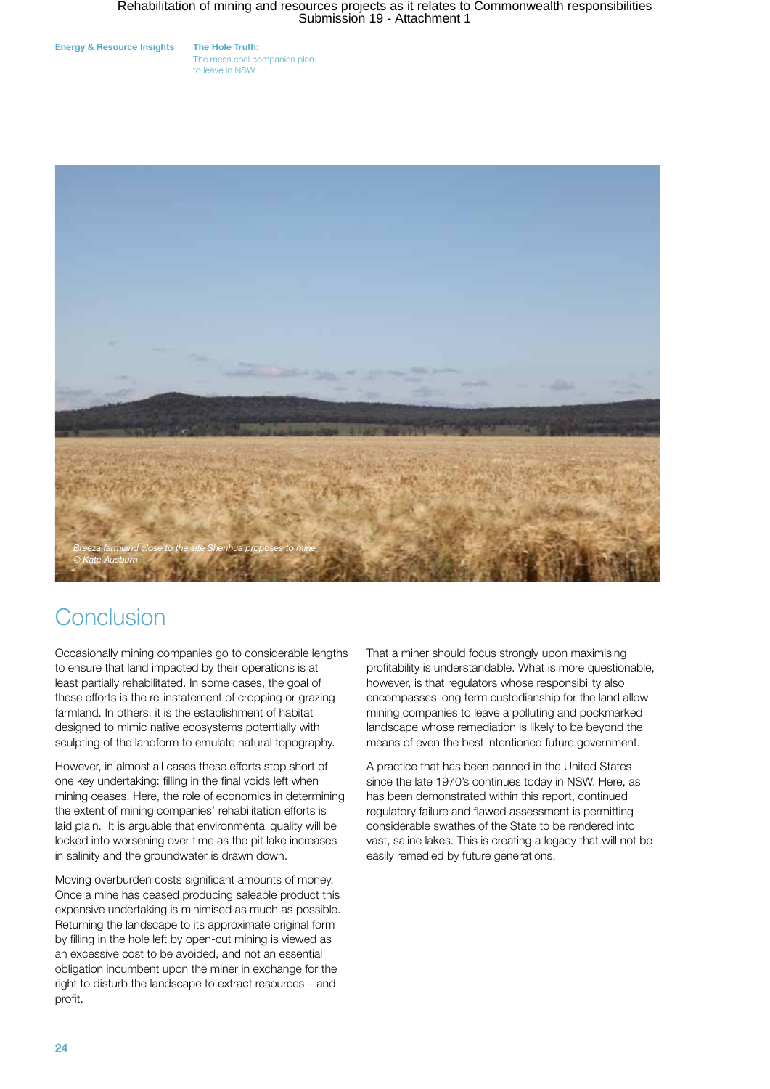Energy & Resource Insights The Hole Truth:

The mess coal companies plan to leave in NSW



# Conclusion

Occasionally mining companies go to considerable lengths to ensure that land impacted by their operations is at least partially rehabilitated. In some cases, the goal of these efforts is the re-instatement of cropping or grazing farmland. In others, it is the establishment of habitat designed to mimic native ecosystems potentially with sculpting of the landform to emulate natural topography.

However, in almost all cases these efforts stop short of one key undertaking: filling in the final voids left when mining ceases. Here, the role of economics in determining the extent of mining companies' rehabilitation efforts is laid plain. It is arguable that environmental quality will be locked into worsening over time as the pit lake increases in salinity and the groundwater is drawn down.

Moving overburden costs significant amounts of money. Once a mine has ceased producing saleable product this expensive undertaking is minimised as much as possible. Returning the landscape to its approximate original form by filling in the hole left by open-cut mining is viewed as an excessive cost to be avoided, and not an essential obligation incumbent upon the miner in exchange for the right to disturb the landscape to extract resources – and profit.

That a miner should focus strongly upon maximising profitability is understandable. What is more questionable, however, is that regulators whose responsibility also encompasses long term custodianship for the land allow mining companies to leave a polluting and pockmarked landscape whose remediation is likely to be beyond the means of even the best intentioned future government.

A practice that has been banned in the United States since the late 1970's continues today in NSW. Here, as has been demonstrated within this report, continued regulatory failure and flawed assessment is permitting considerable swathes of the State to be rendered into vast, saline lakes. This is creating a legacy that will not be easily remedied by future generations.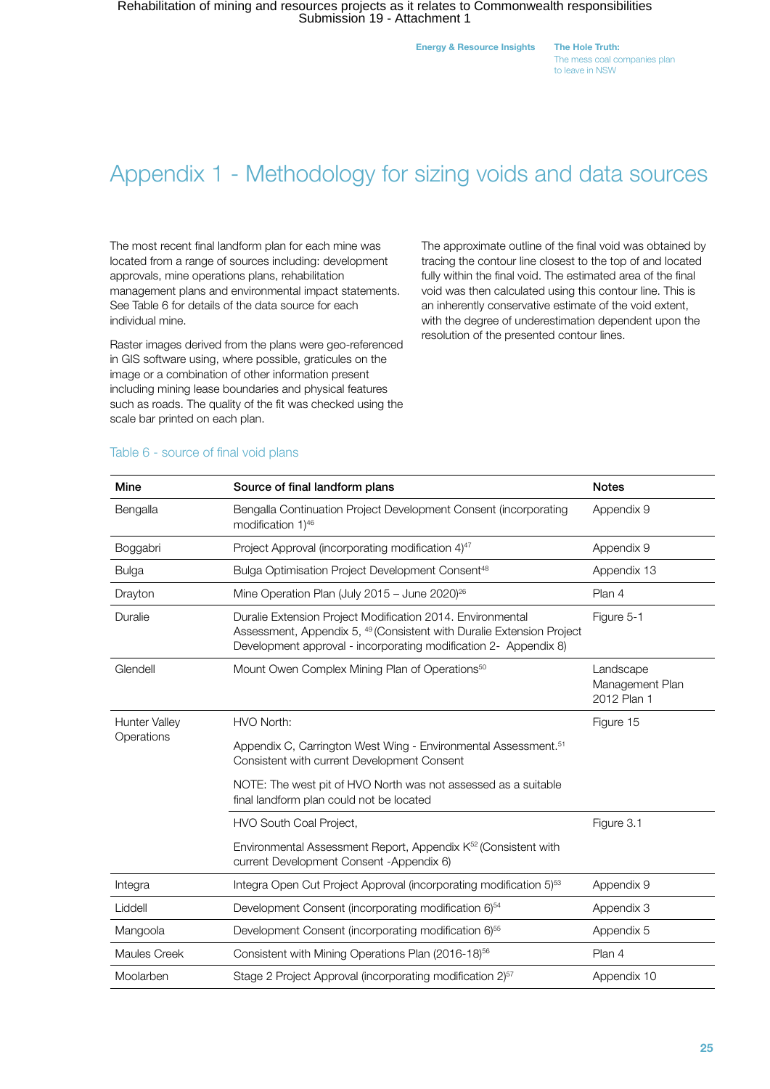Energy & Resource Insights The Hole Truth:

The mess coal companies plan to leave in NSW

# Appendix 1 - Methodology for sizing voids and data sources

The most recent final landform plan for each mine was located from a range of sources including: development approvals, mine operations plans, rehabilitation management plans and environmental impact statements. See Table 6 for details of the data source for each individual mine.

Raster images derived from the plans were geo-referenced in GIS software using, where possible, graticules on the image or a combination of other information present including mining lease boundaries and physical features such as roads. The quality of the fit was checked using the scale bar printed on each plan.

The approximate outline of the final void was obtained by tracing the contour line closest to the top of and located fully within the final void. The estimated area of the final void was then calculated using this contour line. This is an inherently conservative estimate of the void extent, with the degree of underestimation dependent upon the resolution of the presented contour lines.

| Mine                               | Source of final landform plans                                                                                                                                                                                     | <b>Notes</b>                                |
|------------------------------------|--------------------------------------------------------------------------------------------------------------------------------------------------------------------------------------------------------------------|---------------------------------------------|
| Bengalla                           | Bengalla Continuation Project Development Consent (incorporating<br>modification 1)46                                                                                                                              | Appendix 9                                  |
| Boggabri                           | Project Approval (incorporating modification 4) <sup>47</sup>                                                                                                                                                      | Appendix 9                                  |
| <b>Bulga</b>                       | Bulga Optimisation Project Development Consent <sup>48</sup>                                                                                                                                                       | Appendix 13                                 |
| Drayton                            | Mine Operation Plan (July 2015 - June 2020) <sup>26</sup>                                                                                                                                                          | Plan 4                                      |
| Duralie                            | Duralie Extension Project Modification 2014. Environmental<br>Assessment, Appendix 5, <sup>49</sup> (Consistent with Duralie Extension Project<br>Development approval - incorporating modification 2- Appendix 8) | Figure 5-1                                  |
| Glendell                           | Mount Owen Complex Mining Plan of Operations <sup>50</sup>                                                                                                                                                         | Landscape<br>Management Plan<br>2012 Plan 1 |
| <b>Hunter Valley</b><br>Operations | HVO North:                                                                                                                                                                                                         | Figure 15                                   |
|                                    | Appendix C, Carrington West Wing - Environmental Assessment. <sup>51</sup><br>Consistent with current Development Consent                                                                                          |                                             |
|                                    | NOTE: The west pit of HVO North was not assessed as a suitable<br>final landform plan could not be located                                                                                                         |                                             |
|                                    | HVO South Coal Project,                                                                                                                                                                                            | Figure 3.1                                  |
|                                    | Environmental Assessment Report, Appendix K <sup>52</sup> (Consistent with<br>current Development Consent - Appendix 6)                                                                                            |                                             |
| Integra                            | Integra Open Cut Project Approval (incorporating modification 5) <sup>53</sup>                                                                                                                                     | Appendix 9                                  |
| Liddell                            | Development Consent (incorporating modification 6) <sup>54</sup>                                                                                                                                                   | Appendix 3                                  |
| Mangoola                           | Development Consent (incorporating modification 6) <sup>55</sup>                                                                                                                                                   | Appendix 5                                  |
| <b>Maules Creek</b>                | Consistent with Mining Operations Plan (2016-18) <sup>56</sup>                                                                                                                                                     | Plan 4                                      |
| Moolarben                          | Stage 2 Project Approval (incorporating modification 2) <sup>57</sup>                                                                                                                                              | Appendix 10                                 |

#### Table 6 - source of final void plans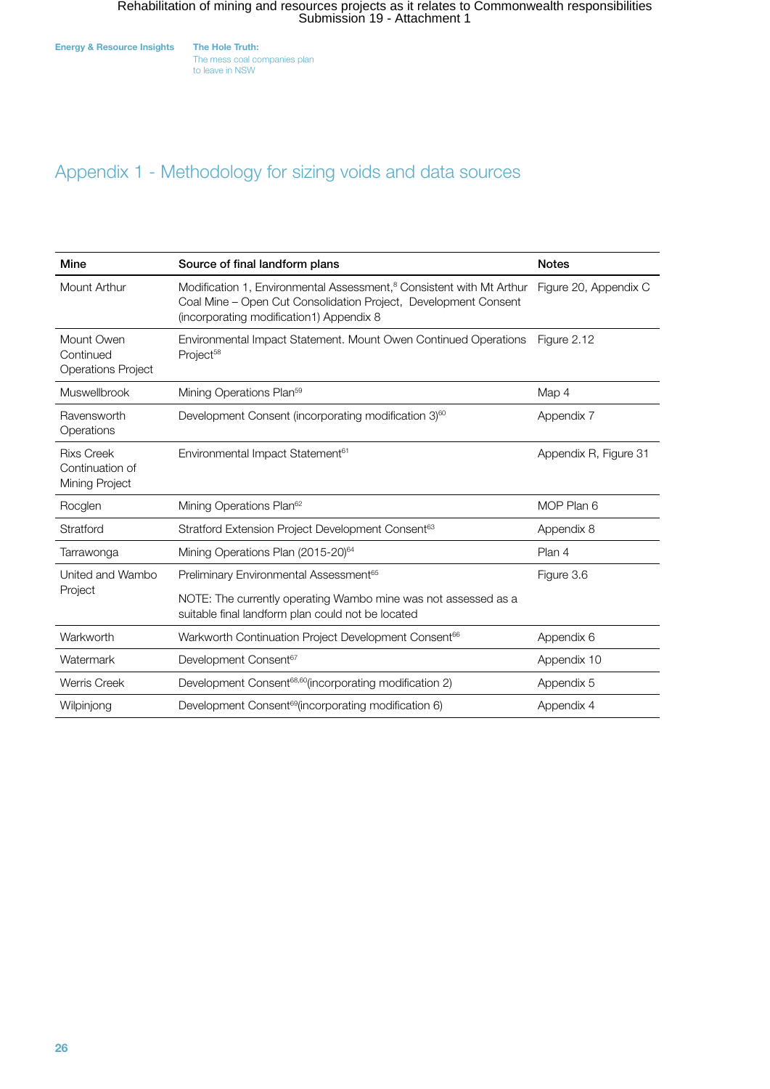The mess coal companies plan to leave in NSW

### Appendix 1 - Methodology for sizing voids and data sources

| Mine                                                   | Source of final landform plans                                                                                                                                                                  | <b>Notes</b>          |
|--------------------------------------------------------|-------------------------------------------------------------------------------------------------------------------------------------------------------------------------------------------------|-----------------------|
| Mount Arthur                                           | Modification 1, Environmental Assessment, <sup>8</sup> Consistent with Mt Arthur<br>Coal Mine – Open Cut Consolidation Project, Development Consent<br>(incorporating modification1) Appendix 8 | Figure 20, Appendix C |
| Mount Owen<br>Continued<br><b>Operations Project</b>   | Environmental Impact Statement. Mount Owen Continued Operations<br>Project <sup>58</sup>                                                                                                        | Figure 2.12           |
| Muswellbrook                                           | Mining Operations Plan <sup>59</sup>                                                                                                                                                            | Map 4                 |
| Ravensworth<br>Operations                              | Development Consent (incorporating modification 3) <sup>60</sup>                                                                                                                                | Appendix 7            |
| <b>Rixs Creek</b><br>Continuation of<br>Mining Project | Environmental Impact Statement <sup>61</sup>                                                                                                                                                    | Appendix R, Figure 31 |
| Rocglen                                                | Mining Operations Plan <sup>62</sup>                                                                                                                                                            | MOP Plan 6            |
| Stratford                                              | Stratford Extension Project Development Consent <sup>63</sup>                                                                                                                                   | Appendix 8            |
| Tarrawonga                                             | Mining Operations Plan (2015-20) <sup>64</sup>                                                                                                                                                  | Plan 4                |
| United and Wambo<br>Project                            | Preliminary Environmental Assessment <sup>65</sup>                                                                                                                                              | Figure 3.6            |
|                                                        | NOTE: The currently operating Wambo mine was not assessed as a<br>suitable final landform plan could not be located                                                                             |                       |
| Warkworth                                              | Warkworth Continuation Project Development Consent <sup>66</sup>                                                                                                                                | Appendix 6            |
| Watermark                                              | Development Consent <sup>67</sup>                                                                                                                                                               | Appendix 10           |
| <b>Werris Creek</b>                                    | Development Consent <sup>68,60</sup> (incorporating modification 2)                                                                                                                             | Appendix 5            |
| Wilpinjong                                             | Development Consent <sup>69</sup> (incorporating modification 6)                                                                                                                                | Appendix 4            |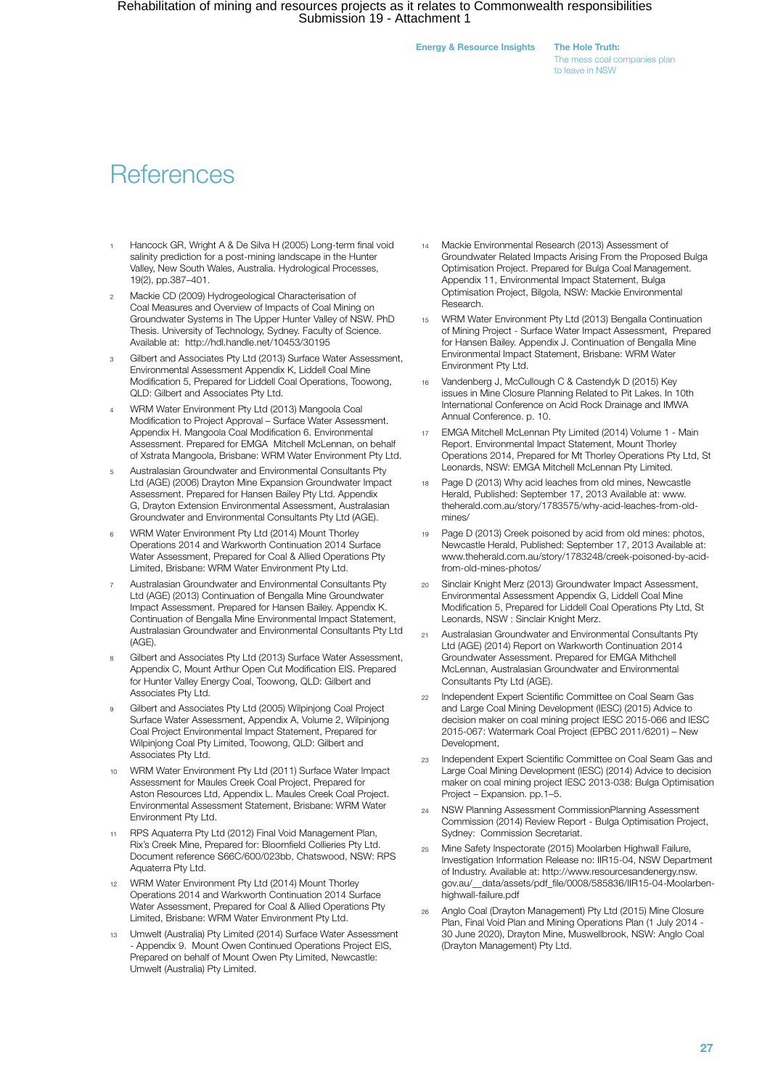Energy & Resource Insights The Hole Truth:

The mess coal companies plan to leave in NSW

# **References**

- Hancock GR, Wright A & De Silva H (2005) Long-term final void salinity prediction for a post-mining landscape in the Hunter Valley, New South Wales, Australia. Hydrological Processes, 19(2), pp.387–401.
- <sup>2</sup> Mackie CD (2009) Hydrogeological Characterisation of Coal Measures and Overview of Impacts of Coal Mining on Groundwater Systems in The Upper Hunter Valley of NSW. PhD Thesis. University of Technology, Sydney. Faculty of Science. Available at: http://hdl.handle.net/10453/30195
- <sup>3</sup> Gilbert and Associates Pty Ltd (2013) Surface Water Assessment, Environmental Assessment Appendix K, Liddell Coal Mine Modification 5, Prepared for Liddell Coal Operations, Toowong, QLD: Gilbert and Associates Pty Ltd.
- <sup>4</sup> WRM Water Environment Pty Ltd (2013) Mangoola Coal Modification to Project Approval – Surface Water Assessment. Appendix H. Mangoola Coal Modification 6. Environmental Assessment. Prepared for EMGA Mitchell McLennan, on behalf of Xstrata Mangoola, Brisbane: WRM Water Environment Pty Ltd.
- <sup>5</sup> Australasian Groundwater and Environmental Consultants Pty Ltd (AGE) (2006) Drayton Mine Expansion Groundwater Impact Assessment. Prepared for Hansen Bailey Pty Ltd. Appendix G, Drayton Extension Environmental Assessment, Australasian Groundwater and Environmental Consultants Pty Ltd (AGE).
- <sup>6</sup> WRM Water Environment Pty Ltd (2014) Mount Thorley Operations 2014 and Warkworth Continuation 2014 Surface Water Assessment, Prepared for Coal & Allied Operations Pty Limited, Brisbane: WRM Water Environment Pty Ltd.
- <sup>7</sup> Australasian Groundwater and Environmental Consultants Pty Ltd (AGE) (2013) Continuation of Bengalla Mine Groundwater Impact Assessment. Prepared for Hansen Bailey. Appendix K. Continuation of Bengalla Mine Environmental Impact Statement, Australasian Groundwater and Environmental Consultants Pty Ltd  $(AGE)$
- <sup>8</sup> Gilbert and Associates Pty Ltd (2013) Surface Water Assessment, Appendix C, Mount Arthur Open Cut Modification EIS. Prepared for Hunter Valley Energy Coal, Toowong, QLD: Gilbert and Associates Pty Ltd.
- <sup>9</sup> Gilbert and Associates Pty Ltd (2005) Wilpinjong Coal Project Surface Water Assessment, Appendix A, Volume 2, Wilpinjong Coal Project Environmental Impact Statement, Prepared for Wilpinjong Coal Pty Limited, Toowong, QLD: Gilbert and Associates Pty Ltd.
- <sup>10</sup> WRM Water Environment Pty Ltd (2011) Surface Water Impact Assessment for Maules Creek Coal Project, Prepared for Aston Resources Ltd, Appendix L. Maules Creek Coal Project. Environmental Assessment Statement, Brisbane: WRM Water Environment Pty Ltd.
- RPS Aquaterra Pty Ltd (2012) Final Void Management Plan, Rix's Creek Mine, Prepared for: Bloomfield Collieries Pty Ltd. Document reference S66C/600/023bb, Chatswood, NSW: RPS Aquaterra Pty Ltd.
- <sup>12</sup> WRM Water Environment Pty Ltd (2014) Mount Thorley Operations 2014 and Warkworth Continuation 2014 Surface Water Assessment, Prepared for Coal & Allied Operations Pty Limited, Brisbane: WRM Water Environment Pty Ltd.
- <sup>13</sup> Umwelt (Australia) Pty Limited (2014) Surface Water Assessment - Appendix 9. Mount Owen Continued Operations Project EIS, Prepared on behalf of Mount Owen Pty Limited, Newcastle: Umwelt (Australia) Pty Limited.
- Mackie Environmental Research (2013) Assessment of Groundwater Related Impacts Arising From the Proposed Bulga Optimisation Project. Prepared for Bulga Coal Management. Appendix 11, Environmental Impact Statement, Bulga Optimisation Project, Bilgola, NSW: Mackie Environmental Research.
- WRM Water Environment Pty Ltd (2013) Bengalla Continuation of Mining Project - Surface Water Impact Assessment, Prepared for Hansen Bailey. Appendix J. Continuation of Bengalla Mine Environmental Impact Statement, Brisbane: WRM Water Environment Pty Ltd.
- <sup>16</sup> Vandenberg J, McCullough C & Castendyk D (2015) Key issues in Mine Closure Planning Related to Pit Lakes. In 10th International Conference on Acid Rock Drainage and IMWA Annual Conference. p. 10.
- EMGA Mitchell McLennan Pty Limited (2014) Volume 1 Main Report. Environmental Impact Statement, Mount Thorley Operations 2014, Prepared for Mt Thorley Operations Pty Ltd, St Leonards, NSW: EMGA Mitchell McLennan Pty Limited.
- Page D (2013) Why acid leaches from old mines, Newcastle Herald, Published: September 17, 2013 Available at: www. theherald.com.au/story/1783575/why-acid-leaches-from-oldmines/
- 19 Page D (2013) Creek poisoned by acid from old mines: photos, Newcastle Herald, Published: September 17, 2013 Available at: www.theherald.com.au/story/1783248/creek-poisoned-by-acidfrom-old-mines-photos/
- <sup>20</sup> Sinclair Knight Merz (2013) Groundwater Impact Assessment, Environmental Assessment Appendix G, Liddell Coal Mine Modification 5, Prepared for Liddell Coal Operations Pty Ltd, St Leonards, NSW : Sinclair Knight Merz.
- Australasian Groundwater and Environmental Consultants Pty Ltd (AGE) (2014) Report on Warkworth Continuation 2014 Groundwater Assessment. Prepared for EMGA Mithchell McLennan, Australasian Groundwater and Environmental Consultants Pty Ltd (AGE).
- Independent Expert Scientific Committee on Coal Seam Gas and Large Coal Mining Development (IESC) (2015) Advice to decision maker on coal mining project IESC 2015-066 and IESC 2015-067: Watermark Coal Project (EPBC 2011/6201) – New Development,
- <sup>23</sup> Independent Expert Scientific Committee on Coal Seam Gas and Large Coal Mining Development (IESC) (2014) Advice to decision maker on coal mining project IESC 2013-038: Bulga Optimisation Project – Expansion. pp.1–5.
- <sup>24</sup> NSW Planning Assessment CommissionPlanning Assessment Commission (2014) Review Report - Bulga Optimisation Project, Sydney: Commission Secretariat.
- <sup>25</sup> Mine Safety Inspectorate (2015) Moolarben Highwall Failure, Investigation Information Release no: IIR15-04, NSW Department of Industry. Available at: http://www.resourcesandenergy.nsw. gov.au/\_\_data/assets/pdf\_file/0008/585836/IIR15-04-Moolarbenhighwall-failure.pdf
- <sup>26</sup> Anglo Coal (Drayton Management) Pty Ltd (2015) Mine Closure Plan, Final Void Plan and Mining Operations Plan (1 July 2014 - 30 June 2020), Drayton Mine, Muswellbrook, NSW: Anglo Coal (Drayton Management) Pty Ltd.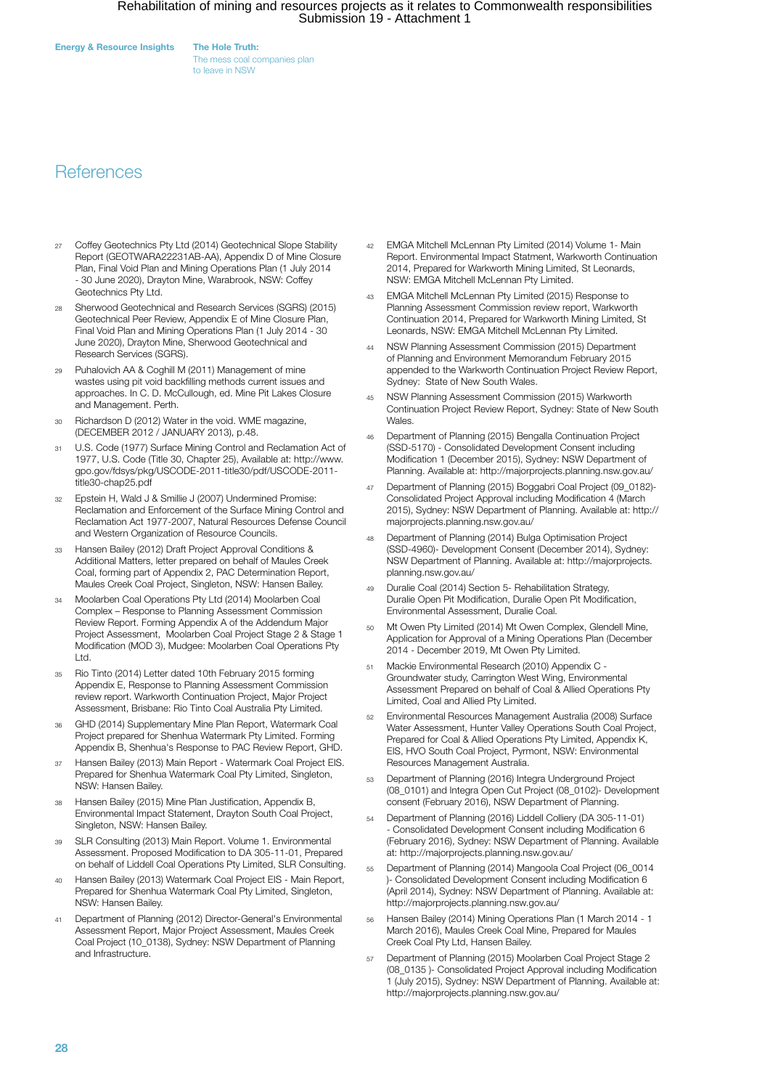Energy & Resource Insights The Hole Truth:

The mess coal companies plan to leave in NSW

### **References**

- Coffey Geotechnics Pty Ltd (2014) Geotechnical Slope Stability Report (GEOTWARA22231AB-AA), Appendix D of Mine Closure Plan, Final Void Plan and Mining Operations Plan (1 July 2014 - 30 June 2020), Drayton Mine, Warabrook, NSW: Coffey Geotechnics Pty Ltd.
- <sup>28</sup> Sherwood Geotechnical and Research Services (SGRS) (2015) Geotechnical Peer Review, Appendix E of Mine Closure Plan, Final Void Plan and Mining Operations Plan (1 July 2014 - 30 June 2020), Drayton Mine, Sherwood Geotechnical and Research Services (SGRS).
- <sup>29</sup> Puhalovich AA & Coghill M (2011) Management of mine wastes using pit void backfilling methods current issues and approaches. In C. D. McCullough, ed. Mine Pit Lakes Closure and Management. Perth.
- Richardson D (2012) Water in the void. WME magazine, (DECEMBER 2012 / JANUARY 2013), p.48.
- <sup>31</sup> U.S. Code (1977) Surface Mining Control and Reclamation Act of 1977, U.S. Code (Title 30, Chapter 25), Available at: http://www. gpo.gov/fdsys/pkg/USCODE-2011-title30/pdf/USCODE-2011 title30-chap25.pdf
- <sup>32</sup> Epstein H, Wald J & Smillie J (2007) Undermined Promise: Reclamation and Enforcement of the Surface Mining Control and Reclamation Act 1977-2007, Natural Resources Defense Council and Western Organization of Resource Councils.
- <sup>33</sup> Hansen Bailey (2012) Draft Project Approval Conditions & Additional Matters, letter prepared on behalf of Maules Creek Coal, forming part of Appendix 2, PAC Determination Report, Maules Creek Coal Project, Singleton, NSW: Hansen Bailey.
- <sup>34</sup> Moolarben Coal Operations Pty Ltd (2014) Moolarben Coal Complex – Response to Planning Assessment Commission Review Report. Forming Appendix A of the Addendum Major Project Assessment, Moolarben Coal Project Stage 2 & Stage 1 Modification (MOD 3), Mudgee: Moolarben Coal Operations Pty Ltd.
- <sup>35</sup> Rio Tinto (2014) Letter dated 10th February 2015 forming Appendix E, Response to Planning Assessment Commission review report. Warkworth Continuation Project, Major Project Assessment, Brisbane: Rio Tinto Coal Australia Pty Limited.
- <sup>36</sup> GHD (2014) Supplementary Mine Plan Report, Watermark Coal Project prepared for Shenhua Watermark Pty Limited. Forming Appendix B, Shenhua's Response to PAC Review Report, GHD.
- <sup>37</sup> Hansen Bailey (2013) Main Report Watermark Coal Project EIS. Prepared for Shenhua Watermark Coal Pty Limited, Singleton, NSW: Hansen Bailey.
- <sup>38</sup> Hansen Bailey (2015) Mine Plan Justification, Appendix B, Environmental Impact Statement, Drayton South Coal Project, Singleton, NSW: Hansen Bailey.
- <sup>39</sup> SLR Consulting (2013) Main Report. Volume 1. Environmental Assessment. Proposed Modification to DA 305-11-01, Prepared on behalf of Liddell Coal Operations Pty Limited, SLR Consulting.
- <sup>40</sup> Hansen Bailey (2013) Watermark Coal Project EIS Main Report, Prepared for Shenhua Watermark Coal Pty Limited, Singleton, NSW: Hansen Bailey.
- <sup>41</sup> Department of Planning (2012) Director-General's Environmental Assessment Report, Major Project Assessment, Maules Creek Coal Project (10\_0138), Sydney: NSW Department of Planning and Infrastructure.
- <sup>42</sup> EMGA Mitchell McLennan Pty Limited (2014) Volume 1- Main Report. Environmental Impact Statment, Warkworth Continuation 2014, Prepared for Warkworth Mining Limited, St Leonards, NSW: EMGA Mitchell McLennan Pty Limited.
- <sup>43</sup> EMGA Mitchell McLennan Pty Limited (2015) Response to Planning Assessment Commission review report, Warkworth Continuation 2014, Prepared for Warkworth Mining Limited, St Leonards, NSW: EMGA Mitchell McLennan Pty Limited.
- NSW Planning Assessment Commission (2015) Department of Planning and Environment Memorandum February 2015 appended to the Warkworth Continuation Project Review Report, Sydney: State of New South Wales.
- <sup>45</sup> NSW Planning Assessment Commission (2015) Warkworth Continuation Project Review Report, Sydney: State of New South Wales.
- <sup>46</sup> Department of Planning (2015) Bengalla Continuation Project (SSD-5170) - Consolidated Development Consent including Modification 1 (December 2015), Sydney: NSW Department of Planning. Available at: http://majorprojects.planning.nsw.gov.au/
- <sup>47</sup> Department of Planning (2015) Boggabri Coal Project (09\_0182)- Consolidated Project Approval including Modification 4 (March 2015), Sydney: NSW Department of Planning. Available at: http:// majorprojects.planning.nsw.gov.au/
- <sup>48</sup> Department of Planning (2014) Bulga Optimisation Project (SSD-4960)- Development Consent (December 2014), Sydney: NSW Department of Planning. Available at: http://majorprojects. planning.nsw.gov.au/
- <sup>49</sup> Duralie Coal (2014) Section 5- Rehabilitation Strategy, Duralie Open Pit Modification, Duralie Open Pit Modification, Environmental Assessment, Duralie Coal.
- <sup>50</sup> Mt Owen Pty Limited (2014) Mt Owen Complex, Glendell Mine, Application for Approval of a Mining Operations Plan (December 2014 - December 2019, Mt Owen Pty Limited.
- <sup>51</sup> Mackie Environmental Research (2010) Appendix C Groundwater study, Carrington West Wing, Environmental Assessment Prepared on behalf of Coal & Allied Operations Pty Limited, Coal and Allied Pty Limited.
- <sup>52</sup> Environmental Resources Management Australia (2008) Surface Water Assessment, Hunter Valley Operations South Coal Project, Prepared for Coal & Allied Operations Pty Limited, Appendix K, EIS, HVO South Coal Project, Pyrmont, NSW: Environmental Resources Management Australia.
- <sup>53</sup> Department of Planning (2016) Integra Underground Project (08\_0101) and Integra Open Cut Project (08\_0102)- Development consent (February 2016), NSW Department of Planning.
- <sup>54</sup> Department of Planning (2016) Liddell Colliery (DA 305-11-01) - Consolidated Development Consent including Modification 6 (February 2016), Sydney: NSW Department of Planning. Available at: http://majorprojects.planning.nsw.gov.au/
- <sup>55</sup> Department of Planning (2014) Mangoola Coal Project (06\_0014 )- Consolidated Development Consent including Modification 6 (April 2014), Sydney: NSW Department of Planning. Available at: http://majorprojects.planning.nsw.gov.au/
- <sup>56</sup> Hansen Bailey (2014) Mining Operations Plan (1 March 2014 1 March 2016), Maules Creek Coal Mine, Prepared for Maules Creek Coal Pty Ltd, Hansen Bailey.
- <sup>57</sup> Department of Planning (2015) Moolarben Coal Project Stage 2 (08\_0135 )- Consolidated Project Approval including Modification 1 (July 2015), Sydney: NSW Department of Planning. Available at: http://majorprojects.planning.nsw.gov.au/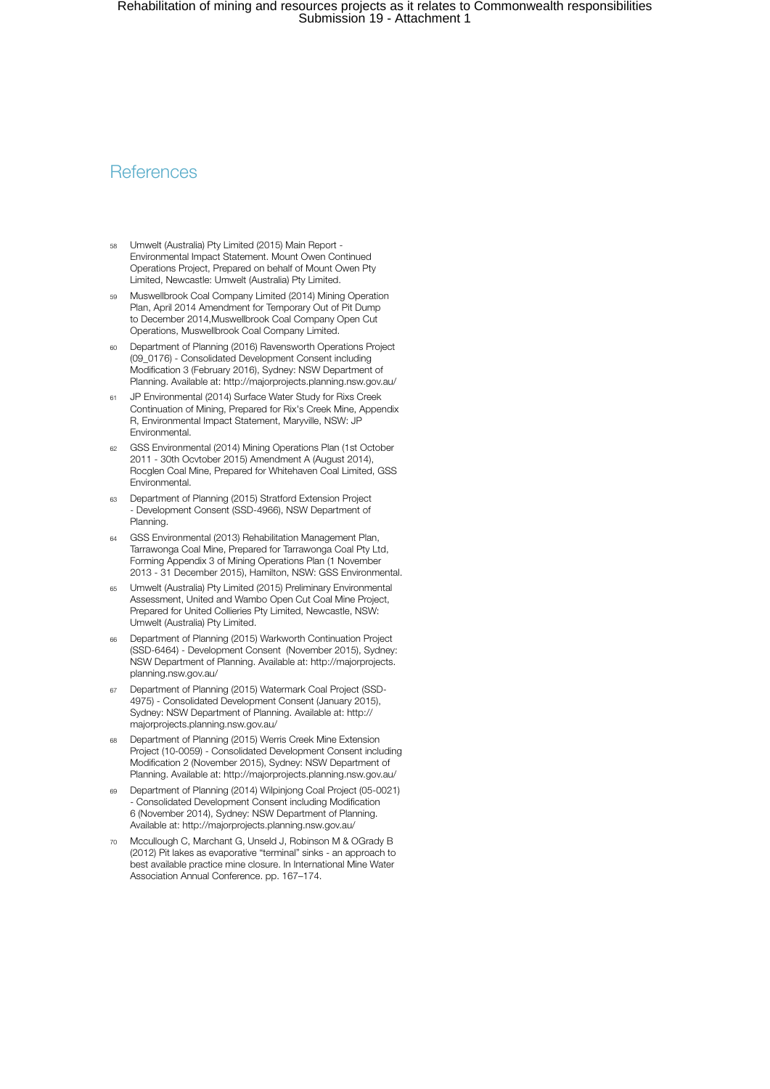### **References**

- Umwelt (Australia) Pty Limited (2015) Main Report -Environmental Impact Statement. Mount Owen Continued Operations Project, Prepared on behalf of Mount Owen Pty Limited, Newcastle: Umwelt (Australia) Pty Limited.
- <sup>59</sup> Muswellbrook Coal Company Limited (2014) Mining Operation Plan, April 2014 Amendment for Temporary Out of Pit Dump to December 2014,Muswellbrook Coal Company Open Cut Operations, Muswellbrook Coal Company Limited.
- <sup>60</sup> Department of Planning (2016) Ravensworth Operations Project (09\_0176) - Consolidated Development Consent including Modification 3 (February 2016), Sydney: NSW Department of Planning. Available at: http://majorprojects.planning.nsw.gov.au/
- <sup>61</sup> JP Environmental (2014) Surface Water Study for Rixs Creek Continuation of Mining, Prepared for Rix's Creek Mine, Appendix R, Environmental Impact Statement, Maryville, NSW: JP Environmental.
- <sup>62</sup> GSS Environmental (2014) Mining Operations Plan (1st October 2011 - 30th Ocvtober 2015) Amendment A (August 2014), Rocglen Coal Mine, Prepared for Whitehaven Coal Limited, GSS Environmental.
- <sup>63</sup> Department of Planning (2015) Stratford Extension Project - Development Consent (SSD-4966), NSW Department of Planning.
- <sup>64</sup> GSS Environmental (2013) Rehabilitation Management Plan, Tarrawonga Coal Mine, Prepared for Tarrawonga Coal Pty Ltd, Forming Appendix 3 of Mining Operations Plan (1 November 2013 - 31 December 2015), Hamilton, NSW: GSS Environmental.
- <sup>65</sup> Umwelt (Australia) Pty Limited (2015) Preliminary Environmental Assessment, United and Wambo Open Cut Coal Mine Project, Prepared for United Collieries Pty Limited, Newcastle, NSW: Umwelt (Australia) Pty Limited.
- <sup>66</sup> Department of Planning (2015) Warkworth Continuation Project (SSD-6464) - Development Consent (November 2015), Sydney: NSW Department of Planning. Available at: http://majorprojects. planning.nsw.gov.au/
- Department of Planning (2015) Watermark Coal Project (SSD-4975) - Consolidated Development Consent (January 2015), Sydney: NSW Department of Planning. Available at: http:// majorprojects.planning.nsw.gov.au/
- Department of Planning (2015) Werris Creek Mine Extension Project (10-0059) - Consolidated Development Consent including Modification 2 (November 2015), Sydney: NSW Department of Planning. Available at: http://majorprojects.planning.nsw.gov.au/
- <sup>69</sup> Department of Planning (2014) Wilpinjong Coal Project (05-0021) - Consolidated Development Consent including Modification 6 (November 2014), Sydney: NSW Department of Planning. Available at: http://majorprojects.planning.nsw.gov.au/
- Mccullough C, Marchant G, Unseld J, Robinson M & OGrady B (2012) Pit lakes as evaporative "terminal" sinks - an approach to best available practice mine closure. In International Mine Water Association Annual Conference. pp. 167–174.